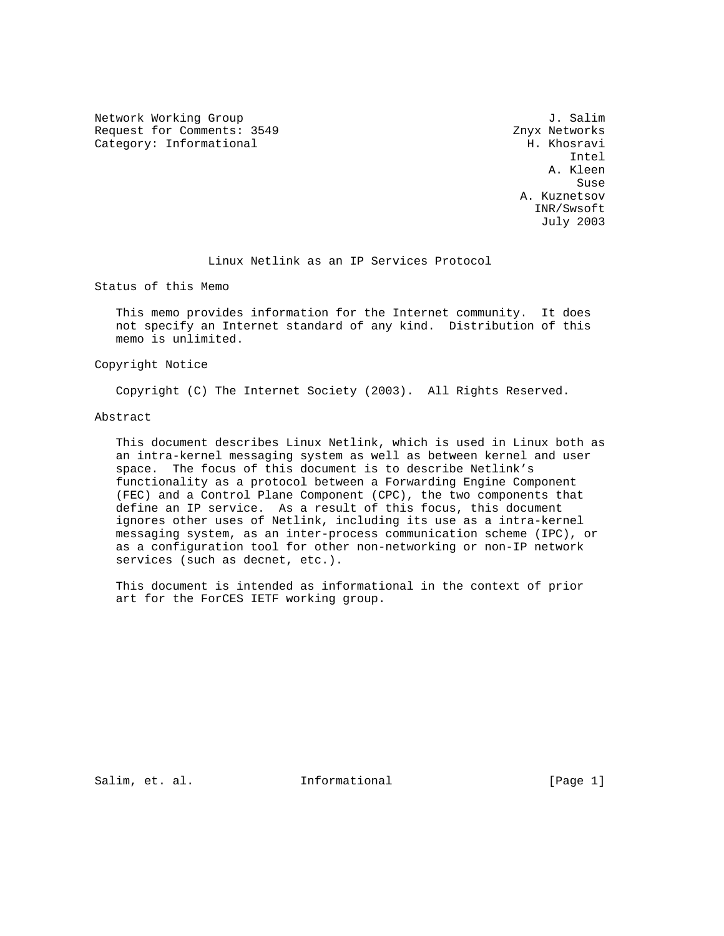Network Working Group 3. Salim Request for Comments: 3549 Znyx Networks Category: Informational and H. Khosravi

 Intel A. Kleen Suse of the contract of the contract of the contract of the contract of the contract of the contract of the contract of the contract of the contract of the contract of the contract of the contract of the contract of the co A. Kuznetsov INR/Swsoft July 2003

Linux Netlink as an IP Services Protocol

Status of this Memo

 This memo provides information for the Internet community. It does not specify an Internet standard of any kind. Distribution of this memo is unlimited.

Copyright Notice

Copyright (C) The Internet Society (2003). All Rights Reserved.

Abstract

 This document describes Linux Netlink, which is used in Linux both as an intra-kernel messaging system as well as between kernel and user space. The focus of this document is to describe Netlink's functionality as a protocol between a Forwarding Engine Component (FEC) and a Control Plane Component (CPC), the two components that define an IP service. As a result of this focus, this document ignores other uses of Netlink, including its use as a intra-kernel messaging system, as an inter-process communication scheme (IPC), or as a configuration tool for other non-networking or non-IP network services (such as decnet, etc.).

 This document is intended as informational in the context of prior art for the ForCES IETF working group.

Salim, et. al. **Informational** [Page 1]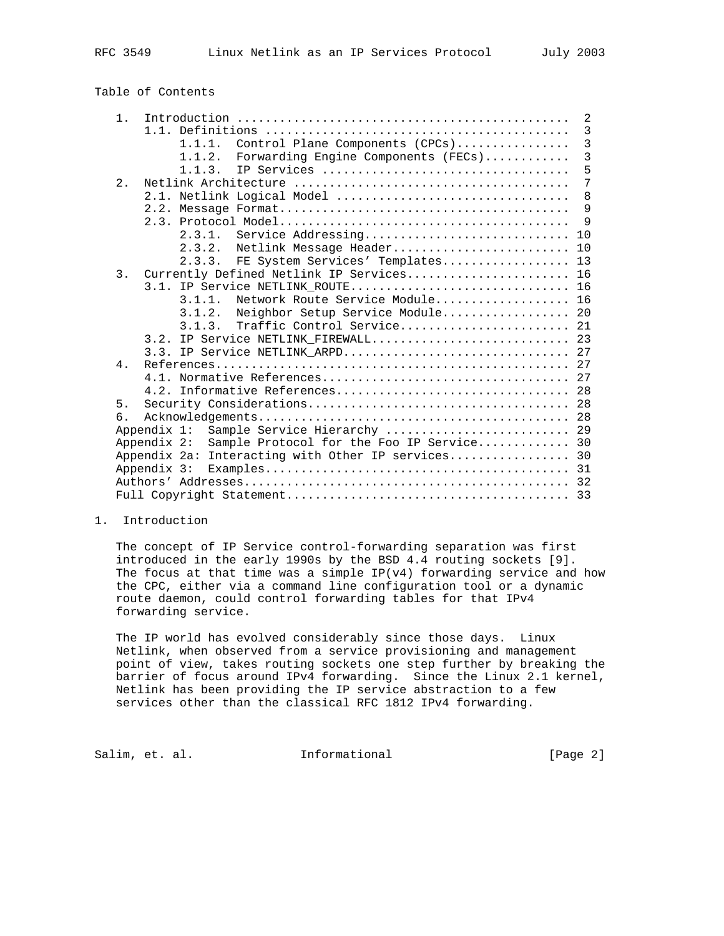|  | Table of Contents |
|--|-------------------|
|  |                   |

| 1 <sub>1</sub> |                                                          | 2              |
|----------------|----------------------------------------------------------|----------------|
|                |                                                          | $\overline{3}$ |
|                | Control Plane Components (CPCs)<br>1, 1, 1.              | $\overline{3}$ |
|                | Forwarding Engine Components (FECs)<br>1.1.2.            | $\overline{3}$ |
|                | IP Services<br>1.1.3.                                    | 5              |
| 2.             |                                                          | $\overline{7}$ |
|                | 2.1. Netlink Logical Model                               | 8              |
|                |                                                          | 9              |
|                |                                                          | $\mathsf{Q}$   |
|                |                                                          |                |
|                | 2.3.2. Netlink Message Header 10                         |                |
|                | FE System Services' Templates 13<br>2.3.3.               |                |
| 3.             | Currently Defined Netlink IP Services 16                 |                |
|                | 3.1. IP Service NETLINK ROUTE 16                         |                |
|                | Network Route Service Module 16<br>3.1.1.                |                |
|                | Neighbor Setup Service Module 20<br>3.1.2.               |                |
|                | Traffic Control Service 21<br>3.1.3.                     |                |
|                | 3.2. IP Service NETLINK FIREWALL 23                      |                |
|                | 3.3. IP Service NETLINK ARPD 27                          |                |
| 4.             |                                                          |                |
|                |                                                          |                |
|                |                                                          |                |
| 5.             |                                                          |                |
| б.             |                                                          |                |
|                | Sample Service Hierarchy  29<br>Appendix 1:              |                |
|                | Sample Protocol for the Foo IP Service 30<br>Appendix 2: |                |
|                | Appendix 2a: Interacting with Other IP services 30       |                |
|                | Appendix 3:                                              |                |
|                |                                                          |                |
|                |                                                          |                |

#### 1. Introduction

 The concept of IP Service control-forwarding separation was first introduced in the early 1990s by the BSD 4.4 routing sockets [9]. The focus at that time was a simple  $IP(v4)$  forwarding service and how the CPC, either via a command line configuration tool or a dynamic route daemon, could control forwarding tables for that IPv4 forwarding service.

 The IP world has evolved considerably since those days. Linux Netlink, when observed from a service provisioning and management point of view, takes routing sockets one step further by breaking the barrier of focus around IPv4 forwarding. Since the Linux 2.1 kernel, Netlink has been providing the IP service abstraction to a few services other than the classical RFC 1812 IPv4 forwarding.

Salim, et. al. 1nformational 1999 [Page 2]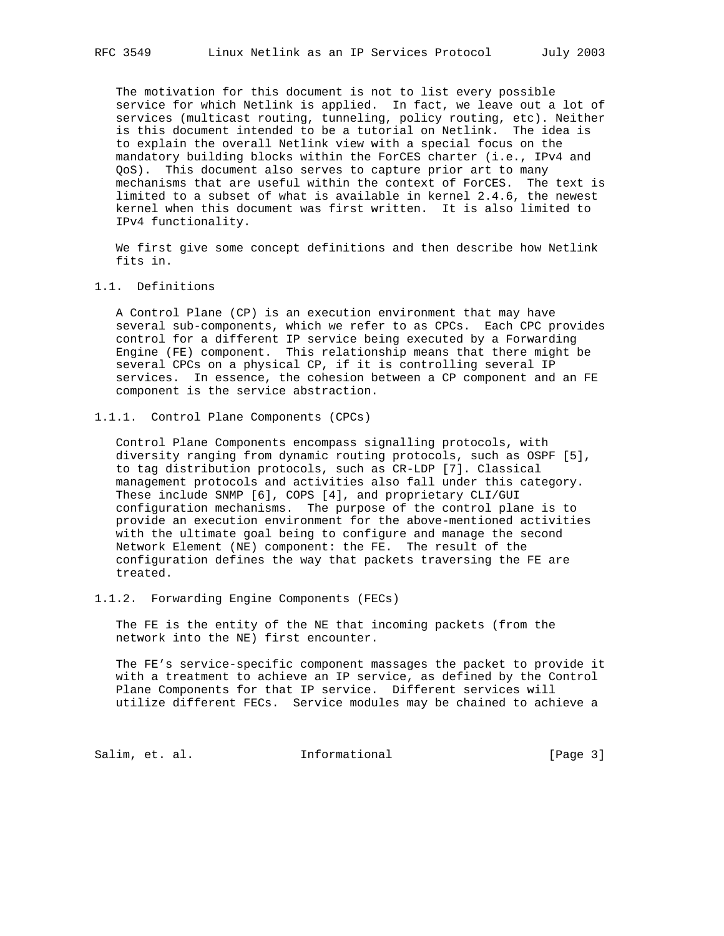The motivation for this document is not to list every possible service for which Netlink is applied. In fact, we leave out a lot of services (multicast routing, tunneling, policy routing, etc). Neither is this document intended to be a tutorial on Netlink. The idea is to explain the overall Netlink view with a special focus on the mandatory building blocks within the ForCES charter (i.e., IPv4 and QoS). This document also serves to capture prior art to many mechanisms that are useful within the context of ForCES. The text is limited to a subset of what is available in kernel 2.4.6, the newest kernel when this document was first written. It is also limited to IPv4 functionality.

 We first give some concept definitions and then describe how Netlink fits in.

## 1.1. Definitions

 A Control Plane (CP) is an execution environment that may have several sub-components, which we refer to as CPCs. Each CPC provides control for a different IP service being executed by a Forwarding Engine (FE) component. This relationship means that there might be several CPCs on a physical CP, if it is controlling several IP services. In essence, the cohesion between a CP component and an FE component is the service abstraction.

### 1.1.1. Control Plane Components (CPCs)

 Control Plane Components encompass signalling protocols, with diversity ranging from dynamic routing protocols, such as OSPF [5], to tag distribution protocols, such as CR-LDP [7]. Classical management protocols and activities also fall under this category. These include SNMP [6], COPS [4], and proprietary CLI/GUI configuration mechanisms. The purpose of the control plane is to provide an execution environment for the above-mentioned activities with the ultimate goal being to configure and manage the second Network Element (NE) component: the FE. The result of the configuration defines the way that packets traversing the FE are treated.

### 1.1.2. Forwarding Engine Components (FECs)

 The FE is the entity of the NE that incoming packets (from the network into the NE) first encounter.

 The FE's service-specific component massages the packet to provide it with a treatment to achieve an IP service, as defined by the Control Plane Components for that IP service. Different services will utilize different FECs. Service modules may be chained to achieve a

Salim, et. al. 10 Informational 1999 [Page 3]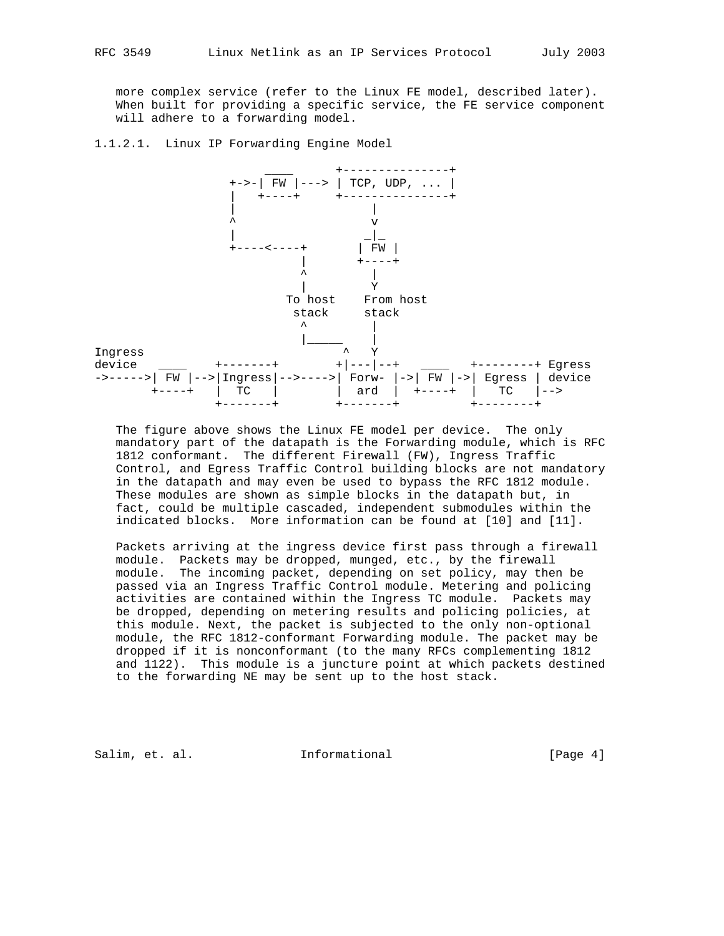more complex service (refer to the Linux FE model, described later). When built for providing a specific service, the FE service component will adhere to a forwarding model.

1.1.2.1. Linux IP Forwarding Engine Model



 The figure above shows the Linux FE model per device. The only mandatory part of the datapath is the Forwarding module, which is RFC 1812 conformant. The different Firewall (FW), Ingress Traffic Control, and Egress Traffic Control building blocks are not mandatory in the datapath and may even be used to bypass the RFC 1812 module. These modules are shown as simple blocks in the datapath but, in fact, could be multiple cascaded, independent submodules within the indicated blocks. More information can be found at [10] and [11].

 Packets arriving at the ingress device first pass through a firewall module. Packets may be dropped, munged, etc., by the firewall module. The incoming packet, depending on set policy, may then be passed via an Ingress Traffic Control module. Metering and policing activities are contained within the Ingress TC module. Packets may be dropped, depending on metering results and policing policies, at this module. Next, the packet is subjected to the only non-optional module, the RFC 1812-conformant Forwarding module. The packet may be dropped if it is nonconformant (to the many RFCs complementing 1812 and 1122). This module is a juncture point at which packets destined to the forwarding NE may be sent up to the host stack.

Salim, et. al. 10. Informational 1.1 [Page 4]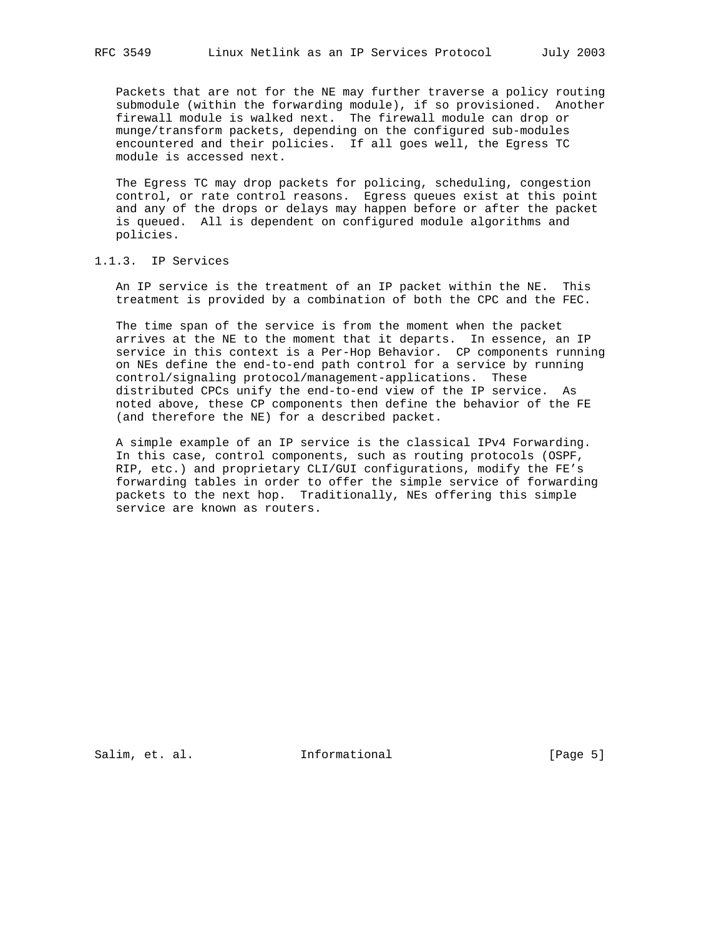Packets that are not for the NE may further traverse a policy routing submodule (within the forwarding module), if so provisioned. Another firewall module is walked next. The firewall module can drop or munge/transform packets, depending on the configured sub-modules encountered and their policies. If all goes well, the Egress TC module is accessed next.

 The Egress TC may drop packets for policing, scheduling, congestion control, or rate control reasons. Egress queues exist at this point and any of the drops or delays may happen before or after the packet is queued. All is dependent on configured module algorithms and policies.

### 1.1.3. IP Services

 An IP service is the treatment of an IP packet within the NE. This treatment is provided by a combination of both the CPC and the FEC.

 The time span of the service is from the moment when the packet arrives at the NE to the moment that it departs. In essence, an IP service in this context is a Per-Hop Behavior. CP components running on NEs define the end-to-end path control for a service by running control/signaling protocol/management-applications. These distributed CPCs unify the end-to-end view of the IP service. As noted above, these CP components then define the behavior of the FE (and therefore the NE) for a described packet.

 A simple example of an IP service is the classical IPv4 Forwarding. In this case, control components, such as routing protocols (OSPF, RIP, etc.) and proprietary CLI/GUI configurations, modify the FE's forwarding tables in order to offer the simple service of forwarding packets to the next hop. Traditionally, NEs offering this simple service are known as routers.

Salim, et. al. **Informational** [Page 5]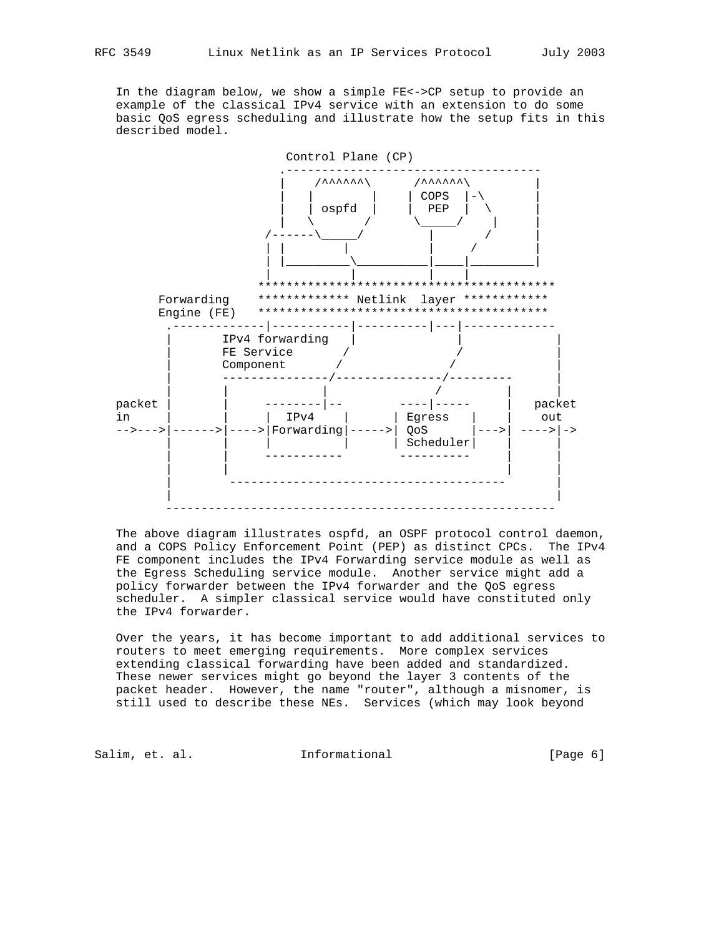In the diagram below, we show a simple FE<->CP setup to provide an example of the classical IPv4 service with an extension to do some basic QoS egress scheduling and illustrate how the setup fits in this described model.



 The above diagram illustrates ospfd, an OSPF protocol control daemon, and a COPS Policy Enforcement Point (PEP) as distinct CPCs. The IPv4 FE component includes the IPv4 Forwarding service module as well as the Egress Scheduling service module. Another service might add a policy forwarder between the IPv4 forwarder and the QoS egress scheduler. A simpler classical service would have constituted only the IPv4 forwarder.

 Over the years, it has become important to add additional services to routers to meet emerging requirements. More complex services extending classical forwarding have been added and standardized. These newer services might go beyond the layer 3 contents of the packet header. However, the name "router", although a misnomer, is still used to describe these NEs. Services (which may look beyond

Salim, et. al. 10. Informational 1. [Page 6]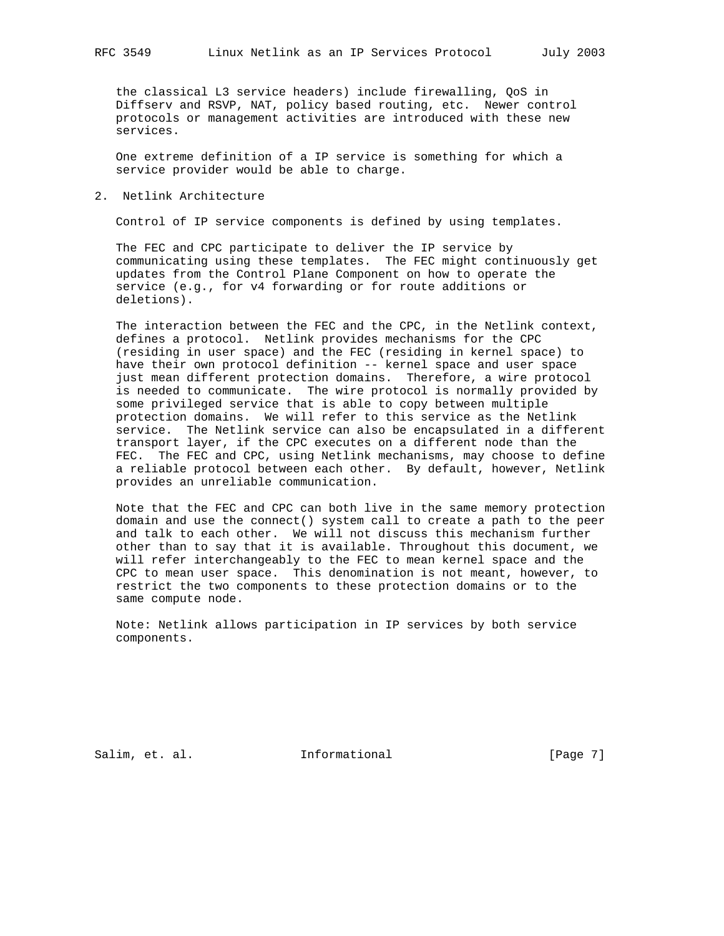the classical L3 service headers) include firewalling, QoS in Diffserv and RSVP, NAT, policy based routing, etc. Newer control protocols or management activities are introduced with these new services.

 One extreme definition of a IP service is something for which a service provider would be able to charge.

2. Netlink Architecture

Control of IP service components is defined by using templates.

 The FEC and CPC participate to deliver the IP service by communicating using these templates. The FEC might continuously get updates from the Control Plane Component on how to operate the service (e.g., for v4 forwarding or for route additions or deletions).

 The interaction between the FEC and the CPC, in the Netlink context, defines a protocol. Netlink provides mechanisms for the CPC (residing in user space) and the FEC (residing in kernel space) to have their own protocol definition -- kernel space and user space just mean different protection domains. Therefore, a wire protocol is needed to communicate. The wire protocol is normally provided by some privileged service that is able to copy between multiple protection domains. We will refer to this service as the Netlink service. The Netlink service can also be encapsulated in a different transport layer, if the CPC executes on a different node than the FEC. The FEC and CPC, using Netlink mechanisms, may choose to define a reliable protocol between each other. By default, however, Netlink provides an unreliable communication.

 Note that the FEC and CPC can both live in the same memory protection domain and use the connect() system call to create a path to the peer and talk to each other. We will not discuss this mechanism further other than to say that it is available. Throughout this document, we will refer interchangeably to the FEC to mean kernel space and the CPC to mean user space. This denomination is not meant, however, to restrict the two components to these protection domains or to the same compute node.

 Note: Netlink allows participation in IP services by both service components.

Salim, et. al. 10 Informational 1999 [Page 7]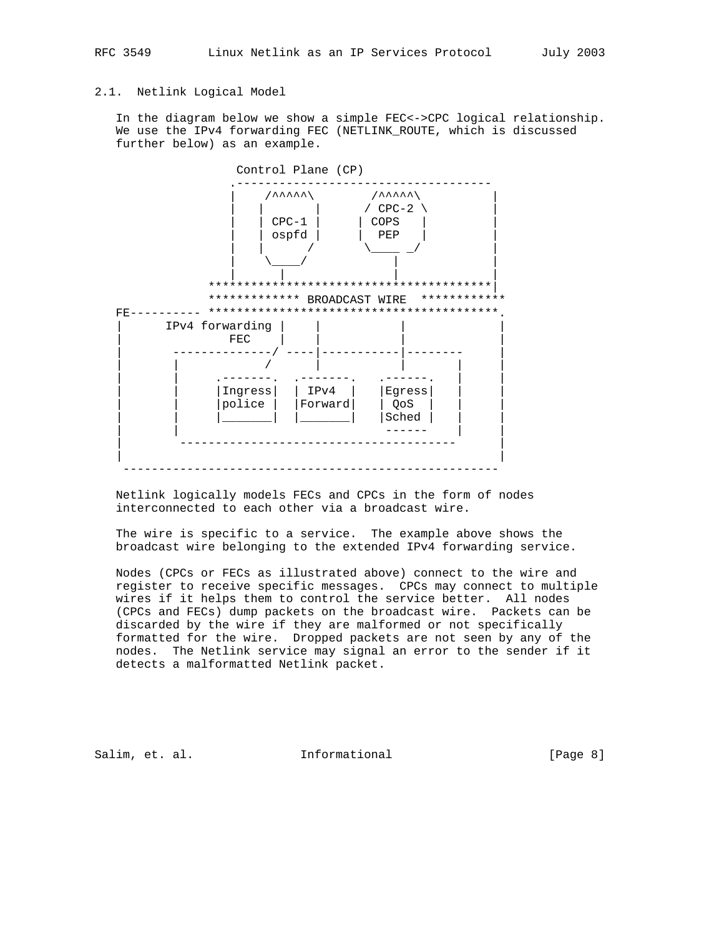# 2.1. Netlink Logical Model

 In the diagram below we show a simple FEC<->CPC logical relationship. We use the IPv4 forwarding FEC (NETLINK ROUTE, which is discussed further below) as an example.



 Netlink logically models FECs and CPCs in the form of nodes interconnected to each other via a broadcast wire.

 The wire is specific to a service. The example above shows the broadcast wire belonging to the extended IPv4 forwarding service.

 Nodes (CPCs or FECs as illustrated above) connect to the wire and register to receive specific messages. CPCs may connect to multiple wires if it helps them to control the service better. All nodes (CPCs and FECs) dump packets on the broadcast wire. Packets can be discarded by the wire if they are malformed or not specifically formatted for the wire. Dropped packets are not seen by any of the nodes. The Netlink service may signal an error to the sender if it detects a malformatted Netlink packet.

Salim, et. al. 10. Informational 1. [Page 8]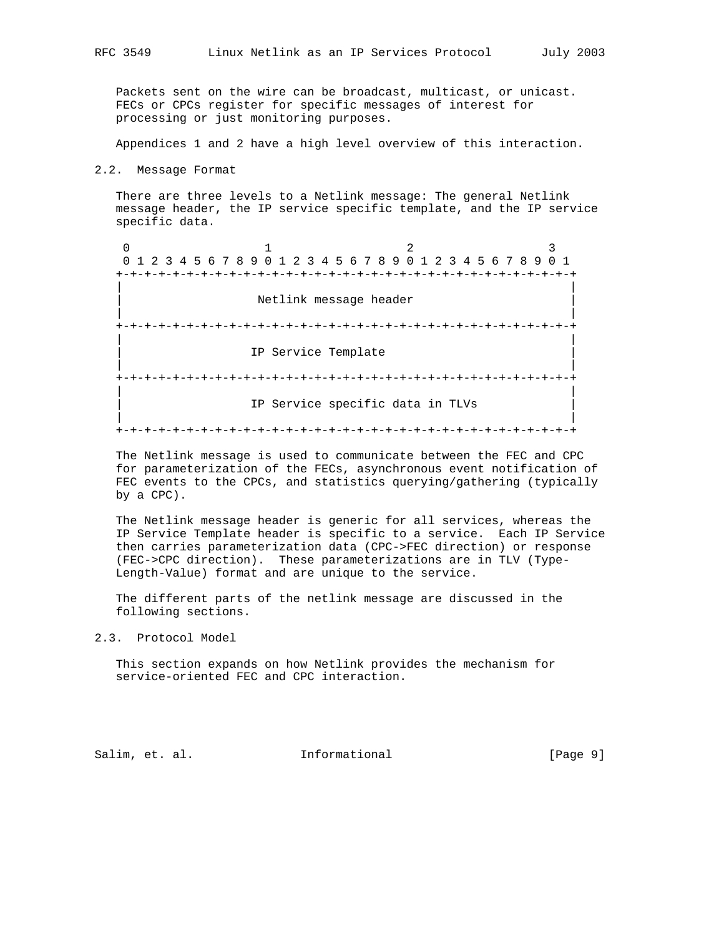Packets sent on the wire can be broadcast, multicast, or unicast. FECs or CPCs register for specific messages of interest for processing or just monitoring purposes.

Appendices 1 and 2 have a high level overview of this interaction.

#### 2.2. Message Format

 There are three levels to a Netlink message: The general Netlink message header, the IP service specific template, and the IP service specific data.

0  $1$  2 3 0 1 2 3 4 5 6 7 8 9 0 1 2 3 4 5 6 7 8 9 0 1 2 3 4 5 6 7 8 9 0 1 +-+-+-+-+-+-+-+-+-+-+-+-+-+-+-+-+-+-+-+-+-+-+-+-+-+-+-+-+-+-+-+-+ | | Netlink message header | | +-+-+-+-+-+-+-+-+-+-+-+-+-+-+-+-+-+-+-+-+-+-+-+-+-+-+-+-+-+-+-+-+ | | IP Service Template | | +-+-+-+-+-+-+-+-+-+-+-+-+-+-+-+-+-+-+-+-+-+-+-+-+-+-+-+-+-+-+-+-+ | | IP Service specific data in TLVs | | +-+-+-+-+-+-+-+-+-+-+-+-+-+-+-+-+-+-+-+-+-+-+-+-+-+-+-+-+-+-+-+-+

 The Netlink message is used to communicate between the FEC and CPC for parameterization of the FECs, asynchronous event notification of FEC events to the CPCs, and statistics querying/gathering (typically by a CPC).

 The Netlink message header is generic for all services, whereas the IP Service Template header is specific to a service. Each IP Service then carries parameterization data (CPC->FEC direction) or response (FEC->CPC direction). These parameterizations are in TLV (Type- Length-Value) format and are unique to the service.

 The different parts of the netlink message are discussed in the following sections.

2.3. Protocol Model

 This section expands on how Netlink provides the mechanism for service-oriented FEC and CPC interaction.

Salim, et. al. 10 Informational 1999 [Page 9]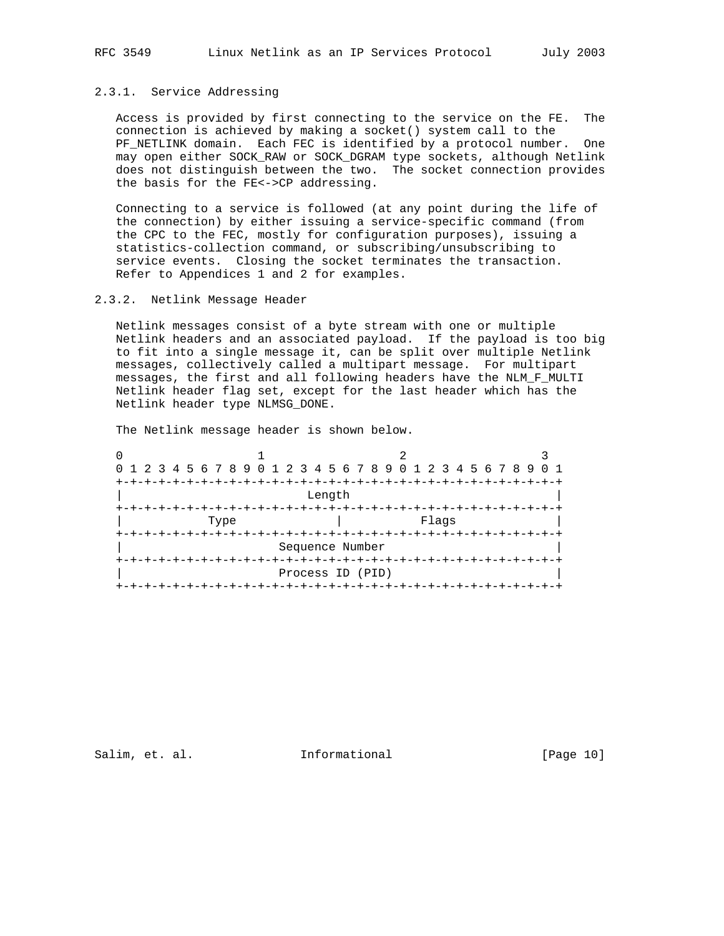## 2.3.1. Service Addressing

 Access is provided by first connecting to the service on the FE. The connection is achieved by making a socket() system call to the PF\_NETLINK domain. Each FEC is identified by a protocol number. One may open either SOCK\_RAW or SOCK\_DGRAM type sockets, although Netlink does not distinguish between the two. The socket connection provides the basis for the FE<->CP addressing.

 Connecting to a service is followed (at any point during the life of the connection) by either issuing a service-specific command (from the CPC to the FEC, mostly for configuration purposes), issuing a statistics-collection command, or subscribing/unsubscribing to service events. Closing the socket terminates the transaction. Refer to Appendices 1 and 2 for examples.

### 2.3.2. Netlink Message Header

 Netlink messages consist of a byte stream with one or multiple Netlink headers and an associated payload. If the payload is too big to fit into a single message it, can be split over multiple Netlink messages, collectively called a multipart message. For multipart messages, the first and all following headers have the NLM\_F\_MULTI Netlink header flag set, except for the last header which has the Netlink header type NLMSG\_DONE.

The Netlink message header is shown below.

| 0 1 2 3 4 5 6 7 8 9 0 1 2 3 4 5 6 7 8 9 0 1 2 3 4 5 6 7 8 9 |                 |  |  |  |  |      |  |  |  |  |  |                     |  |  |  |  |  |  |  |  |  |  |  |              |  |  |  |  |
|-------------------------------------------------------------|-----------------|--|--|--|--|------|--|--|--|--|--|---------------------|--|--|--|--|--|--|--|--|--|--|--|--------------|--|--|--|--|
|                                                             | +-+-+-+-+-+-+-+ |  |  |  |  |      |  |  |  |  |  |                     |  |  |  |  |  |  |  |  |  |  |  |              |  |  |  |  |
|                                                             | Length          |  |  |  |  |      |  |  |  |  |  |                     |  |  |  |  |  |  |  |  |  |  |  |              |  |  |  |  |
|                                                             |                 |  |  |  |  |      |  |  |  |  |  |                     |  |  |  |  |  |  |  |  |  |  |  |              |  |  |  |  |
|                                                             |                 |  |  |  |  | Type |  |  |  |  |  | Flags               |  |  |  |  |  |  |  |  |  |  |  |              |  |  |  |  |
|                                                             |                 |  |  |  |  |      |  |  |  |  |  |                     |  |  |  |  |  |  |  |  |  |  |  | -+-+-+-+-+-+ |  |  |  |  |
|                                                             |                 |  |  |  |  |      |  |  |  |  |  | Sequence Number     |  |  |  |  |  |  |  |  |  |  |  |              |  |  |  |  |
|                                                             |                 |  |  |  |  |      |  |  |  |  |  |                     |  |  |  |  |  |  |  |  |  |  |  |              |  |  |  |  |
|                                                             |                 |  |  |  |  |      |  |  |  |  |  | Process ID (PID)    |  |  |  |  |  |  |  |  |  |  |  |              |  |  |  |  |
|                                                             |                 |  |  |  |  |      |  |  |  |  |  | +-+-+-+-+-+-+-+-+-+ |  |  |  |  |  |  |  |  |  |  |  |              |  |  |  |  |

## Salim, et. al. **Informational** [Page 10]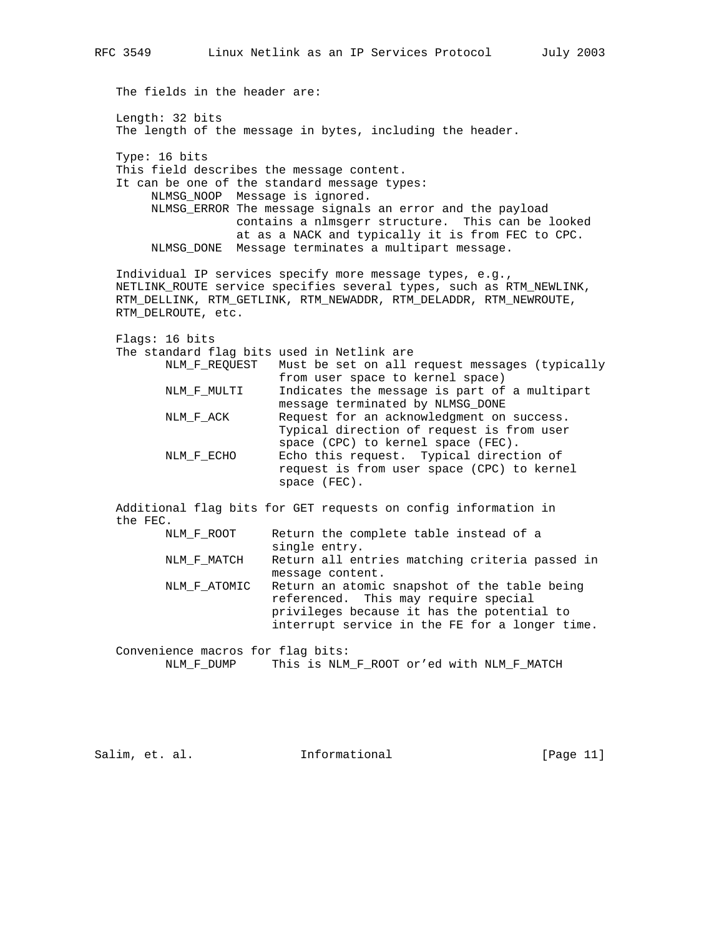The fields in the header are: Length: 32 bits The length of the message in bytes, including the header. Type: 16 bits This field describes the message content. It can be one of the standard message types: NLMSG\_NOOP Message is ignored. NLMSG\_ERROR The message signals an error and the payload contains a nlmsgerr structure. This can be looked at as a NACK and typically it is from FEC to CPC. NLMSG\_DONE Message terminates a multipart message. Individual IP services specify more message types, e.g., NETLINK\_ROUTE service specifies several types, such as RTM\_NEWLINK, RTM\_DELLINK, RTM\_GETLINK, RTM\_NEWADDR, RTM\_DELADDR, RTM\_NEWROUTE, RTM\_DELROUTE, etc. Flags: 16 bits The standard flag bits used in Netlink are NLM\_F\_REQUEST Must be set on all request messages (typically from user space to kernel space) NLM\_F\_MULTI Indicates the message is part of a multipart message terminated by NLMSG\_DONE NLM\_F\_ACK Request for an acknowledgment on success. Typical direction of request is from user space (CPC) to kernel space (FEC). NLM\_F\_ECHO Echo this request. Typical direction of request is from user space (CPC) to kernel space (FEC). Additional flag bits for GET requests on config information in the FEC. NLM\_F\_ROOT Return the complete table instead of a single entry. NLM\_F\_MATCH Return all entries matching criteria passed in message content. NLM\_F\_ATOMIC Return an atomic snapshot of the table being referenced. This may require special privileges because it has the potential to interrupt service in the FE for a longer time.

 Convenience macros for flag bits: NLM\_F\_DUMP This is NLM\_F\_ROOT or'ed with NLM\_F\_MATCH

Salim, et. al. 10. Informational 1.1 [Page 11]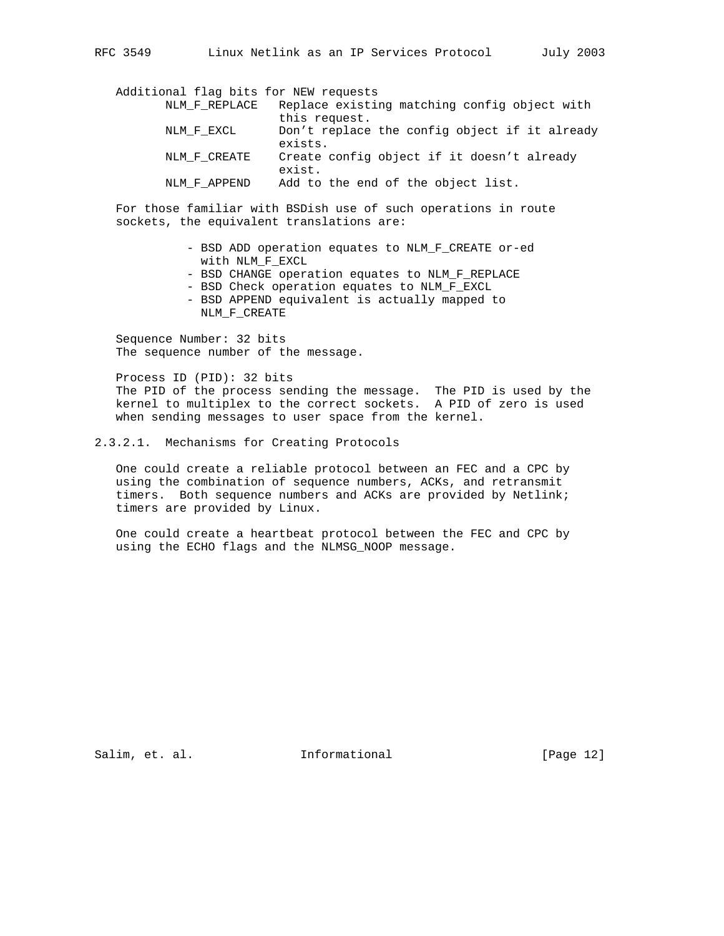Additional flag bits for NEW requests NLM\_F\_REPLACE Replace existing matching config object with this request. NLM F EXCL Don't replace the config object if it already exists. NLM\_F\_CREATE Create config object if it doesn't already exist. NLM\_F\_APPEND Add to the end of the object list.

 For those familiar with BSDish use of such operations in route sockets, the equivalent translations are:

- BSD ADD operation equates to NLM\_F\_CREATE or-ed with NLM\_F\_EXCL
- BSD CHANGE operation equates to NLM\_F\_REPLACE
- BSD Check operation equates to NLM F EXCL
- BSD APPEND equivalent is actually mapped to NLM\_F\_CREATE

 Sequence Number: 32 bits The sequence number of the message.

 Process ID (PID): 32 bits The PID of the process sending the message. The PID is used by the kernel to multiplex to the correct sockets. A PID of zero is used when sending messages to user space from the kernel.

### 2.3.2.1. Mechanisms for Creating Protocols

 One could create a reliable protocol between an FEC and a CPC by using the combination of sequence numbers, ACKs, and retransmit timers. Both sequence numbers and ACKs are provided by Netlink; timers are provided by Linux.

 One could create a heartbeat protocol between the FEC and CPC by using the ECHO flags and the NLMSG\_NOOP message.

Salim, et. al. **Informational** [Page 12]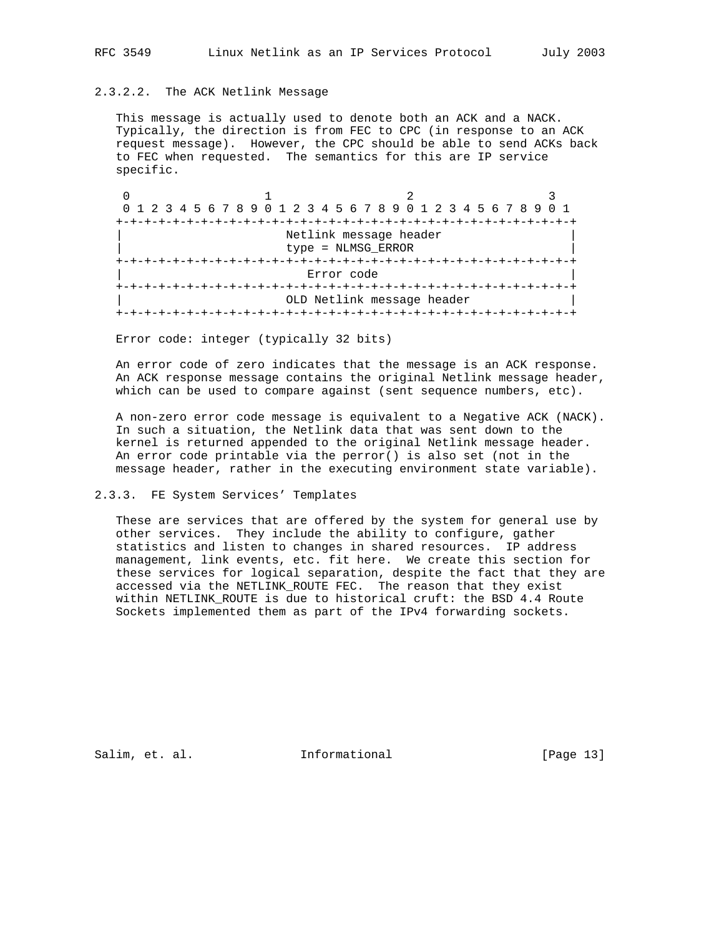# 2.3.2.2. The ACK Netlink Message

This message is actually used to denote both an ACK and a NACK. Typically, the direction is from FEC to CPC (in response to an ACK request message). However, the CPC should be able to send ACKs back to FEC when requested. The semantics for this are IP service specific.

0  $1$  2 3 0 1 2 3 4 5 6 7 8 9 0 1 2 3 4 5 6 7 8 9 0 1 2 3 4 5 6 7 8 9 0 1 +-+-+-+-+-+-+-+-+-+-+-+-+-+-+-+-+-+-+-+-+-+-+-+-+-+-+-+-+-+-+-+-+ Netlink message header | type = NLMSG\_ERROR | +-+-+-+-+-+-+-+-+-+-+-+-+-+-+-+-+-+-+-+-+-+-+-+-+-+-+-+-+-+-+-+-+ Error code +-+-+-+-+-+-+-+-+-+-+-+-+-+-+-+-+-+-+-+-+-+-+-+-+-+-+-+-+-+-+-+-+ OLD Netlink message header +-+-+-+-+-+-+-+-+-+-+-+-+-+-+-+-+-+-+-+-+-+-+-+-+-+-+-+-+-+-+-+-+

Error code: integer (typically 32 bits)

 An error code of zero indicates that the message is an ACK response. An ACK response message contains the original Netlink message header, which can be used to compare against (sent sequence numbers, etc).

 A non-zero error code message is equivalent to a Negative ACK (NACK). In such a situation, the Netlink data that was sent down to the kernel is returned appended to the original Netlink message header. An error code printable via the perror() is also set (not in the message header, rather in the executing environment state variable).

### 2.3.3. FE System Services' Templates

 These are services that are offered by the system for general use by other services. They include the ability to configure, gather statistics and listen to changes in shared resources. IP address management, link events, etc. fit here. We create this section for these services for logical separation, despite the fact that they are accessed via the NETLINK\_ROUTE FEC. The reason that they exist within NETLINK\_ROUTE is due to historical cruft: the BSD 4.4 Route Sockets implemented them as part of the IPv4 forwarding sockets.

Salim, et. al. 10. Informational [Page 13]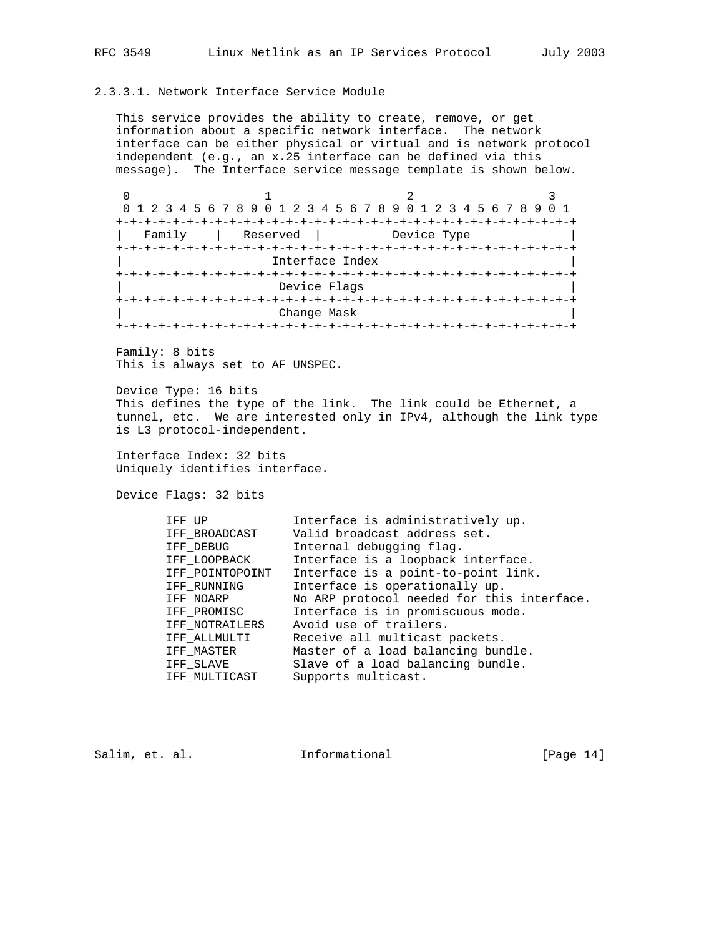## 2.3.3.1. Network Interface Service Module

 This service provides the ability to create, remove, or get information about a specific network interface. The network interface can be either physical or virtual and is network protocol independent (e.g., an x.25 interface can be defined via this message). The Interface service message template is shown below.

0  $1$  2 3 0 1 2 3 4 5 6 7 8 9 0 1 2 3 4 5 6 7 8 9 0 1 2 3 4 5 6 7 8 9 0 1 +-+-+-+-+-+-+-+-+-+-+-+-+-+-+-+-+-+-+-+-+-+-+-+-+-+-+-+-+-+-+-+-+ | Family | Reserved | Device Type | +-+-+-+-+-+-+-+-+-+-+-+-+-+-+-+-+-+-+-+-+-+-+-+-+-+-+-+-+-+-+-+-+ Interface Index +-+-+-+-+-+-+-+-+-+-+-+-+-+-+-+-+-+-+-+-+-+-+-+-+-+-+-+-+-+-+-+-+ Device Flags +-+-+-+-+-+-+-+-+-+-+-+-+-+-+-+-+-+-+-+-+-+-+-+-+-+-+-+-+-+-+-+-+ | Change Mask | +-+-+-+-+-+-+-+-+-+-+-+-+-+-+-+-+-+-+-+-+-+-+-+-+-+-+-+-+-+-+-+-+

 Family: 8 bits This is always set to AF\_UNSPEC.

 Device Type: 16 bits This defines the type of the link. The link could be Ethernet, a tunnel, etc. We are interested only in IPv4, although the link type is L3 protocol-independent.

 Interface Index: 32 bits Uniquely identifies interface.

Device Flags: 32 bits

| IFF UP          | Interface is administratively up.          |
|-----------------|--------------------------------------------|
| IFF BROADCAST   | Valid broadcast address set.               |
| IFF DEBUG       | Internal debugging flag.                   |
| IFF LOOPBACK    | Interface is a loopback interface.         |
| IFF POINTOPOINT | Interface is a point-to-point link.        |
| IFF RUNNING     | Interface is operationally up.             |
| IFF NOARP       | No ARP protocol needed for this interface. |
| IFF PROMISC     | Interface is in promiscuous mode.          |
| IFF NOTRAILERS  | Avoid use of trailers.                     |
| IFF ALLMULTI    | Receive all multicast packets.             |
| IFF MASTER      | Master of a load balancing bundle.         |
| IFF SLAVE       | Slave of a load balancing bundle.          |
| IFF MULTICAST   | Supports multicast.                        |
|                 |                                            |

Salim, et. al. 10. Informational [Page 14]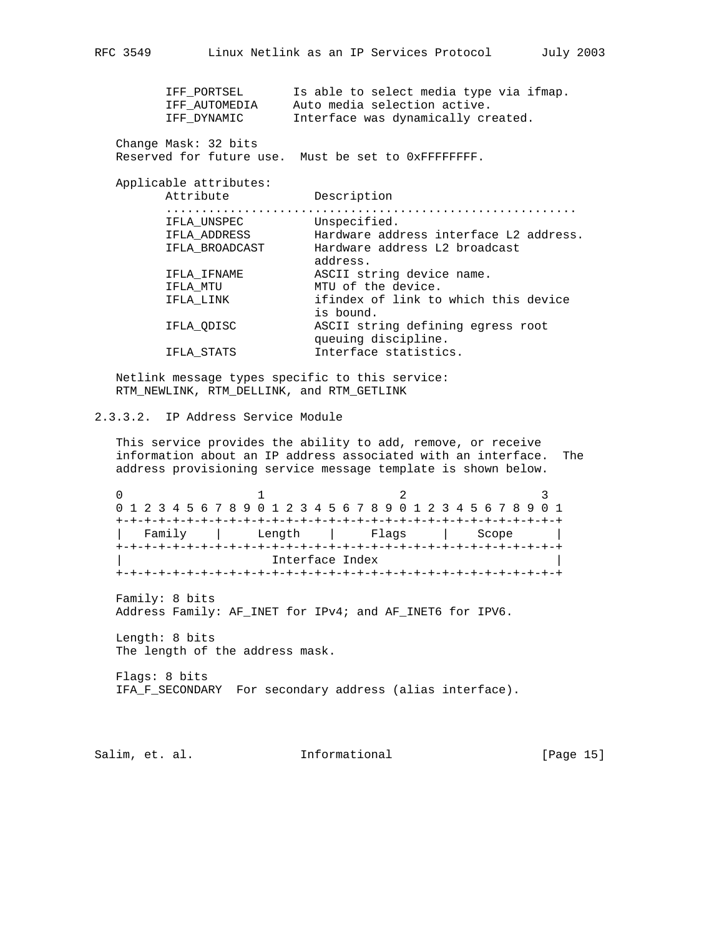| IFF PORTSEL<br>IFF AUTOMEDIA<br>IFF DYNAMIC | Is able to select media type via ifmap.<br>Auto media selection active.<br>Interface was dynamically created. |
|---------------------------------------------|---------------------------------------------------------------------------------------------------------------|
| Change Mask: 32 bits                        | Reserved for future use. Must be set to OXFFFFFFFFF.                                                          |
| Applicable attributes:                      |                                                                                                               |
| Attribute                                   | Description                                                                                                   |
| IFLA UNSPEC                                 | Unspecified.                                                                                                  |
| IFLA ADDRESS                                | Hardware address interface L2 address.                                                                        |
| IFLA BROADCAST                              | Hardware address L2 broadcast<br>address.                                                                     |
| IFLA IFNAME                                 | ASCII string device name.                                                                                     |
| IFLA MTU                                    | MTU of the device.                                                                                            |
| IFLA LINK                                   | ifindex of link to which this device<br>is bound.                                                             |
| IFLA ODISC                                  | ASCII string defining egress root<br>queuing discipline.                                                      |
| IFLA STATS                                  | Interface statistics.                                                                                         |
|                                             |                                                                                                               |

 Netlink message types specific to this service: RTM\_NEWLINK, RTM\_DELLINK, and RTM\_GETLINK

## 2.3.3.2. IP Address Service Module

 This service provides the ability to add, remove, or receive information about an IP address associated with an interface. The address provisioning service message template is shown below.

0  $1$  2 3 0 1 2 3 4 5 6 7 8 9 0 1 2 3 4 5 6 7 8 9 0 1 2 3 4 5 6 7 8 9 0 1 +-+-+-+-+-+-+-+-+-+-+-+-+-+-+-+-+-+-+-+-+-+-+-+-+-+-+-+-+-+-+-+ | Family | Length | Flags | Scope | +-+-+-+-+-+-+-+-+-+-+-+-+-+-+-+-+-+-+-+-+-+-+-+-+-+-+-+-+-+-+-+ Interface Index +-+-+-+-+-+-+-+-+-+-+-+-+-+-+-+-+-+-+-+-+-+-+-+-+-+-+-+-+-+-+-+

 Family: 8 bits Address Family: AF\_INET for IPv4; and AF\_INET6 for IPV6.

 Length: 8 bits The length of the address mask.

 Flags: 8 bits IFA\_F\_SECONDARY For secondary address (alias interface).

Salim, et. al. 1nformational [Page 15]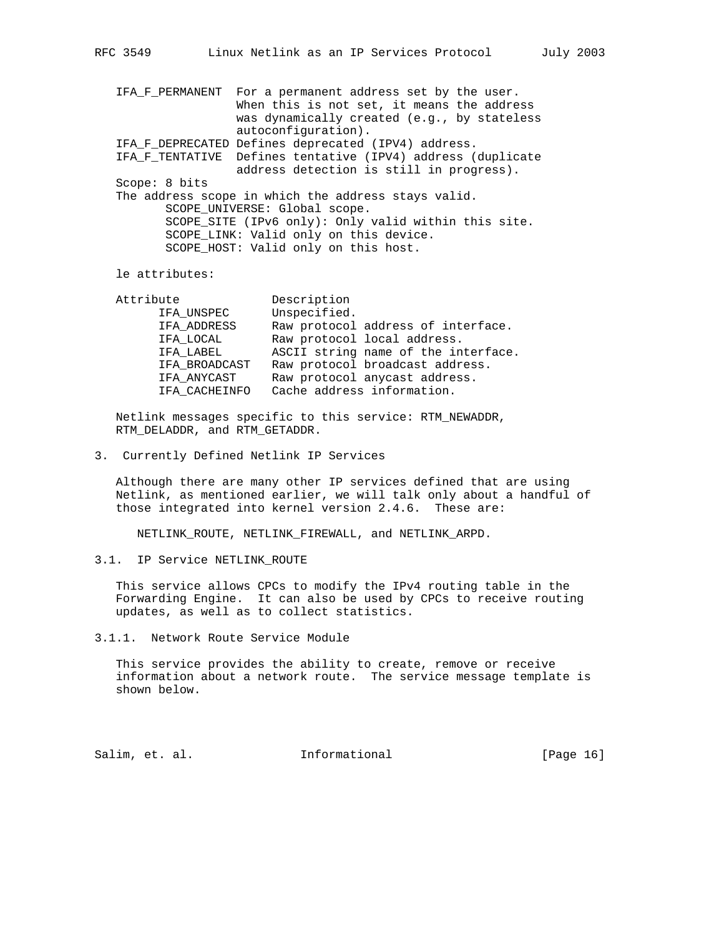IFA\_F\_PERMANENT For a permanent address set by the user. When this is not set, it means the address was dynamically created (e.g., by stateless autoconfiguration). IFA\_F\_DEPRECATED Defines deprecated (IPV4) address. IFA\_F\_TENTATIVE Defines tentative (IPV4) address (duplicate address detection is still in progress). Scope: 8 bits The address scope in which the address stays valid. SCOPE\_UNIVERSE: Global scope. SCOPE\_SITE (IPv6 only): Only valid within this site. SCOPE\_LINK: Valid only on this device. SCOPE\_HOST: Valid only on this host.

le attributes:

| Attribute     | Description                         |
|---------------|-------------------------------------|
| IFA UNSPEC    | Unspecified.                        |
| IFA_ADDRESS   | Raw protocol address of interface.  |
| IFA LOCAL     | Raw protocol local address.         |
| IFA LABEL     | ASCII string name of the interface. |
| IFA BROADCAST | Raw protocol broadcast address.     |
| IFA ANYCAST   | Raw protocol any cast address.      |
| IFA CACHEINFO | Cache address information.          |
|               |                                     |

 Netlink messages specific to this service: RTM\_NEWADDR, RTM\_DELADDR, and RTM\_GETADDR.

3. Currently Defined Netlink IP Services

 Although there are many other IP services defined that are using Netlink, as mentioned earlier, we will talk only about a handful of those integrated into kernel version 2.4.6. These are:

NETLINK\_ROUTE, NETLINK\_FIREWALL, and NETLINK\_ARPD.

3.1. IP Service NETLINK\_ROUTE

 This service allows CPCs to modify the IPv4 routing table in the Forwarding Engine. It can also be used by CPCs to receive routing updates, as well as to collect statistics.

3.1.1. Network Route Service Module

 This service provides the ability to create, remove or receive information about a network route. The service message template is shown below.

Salim, et. al. 10. Informational 1. [Page 16]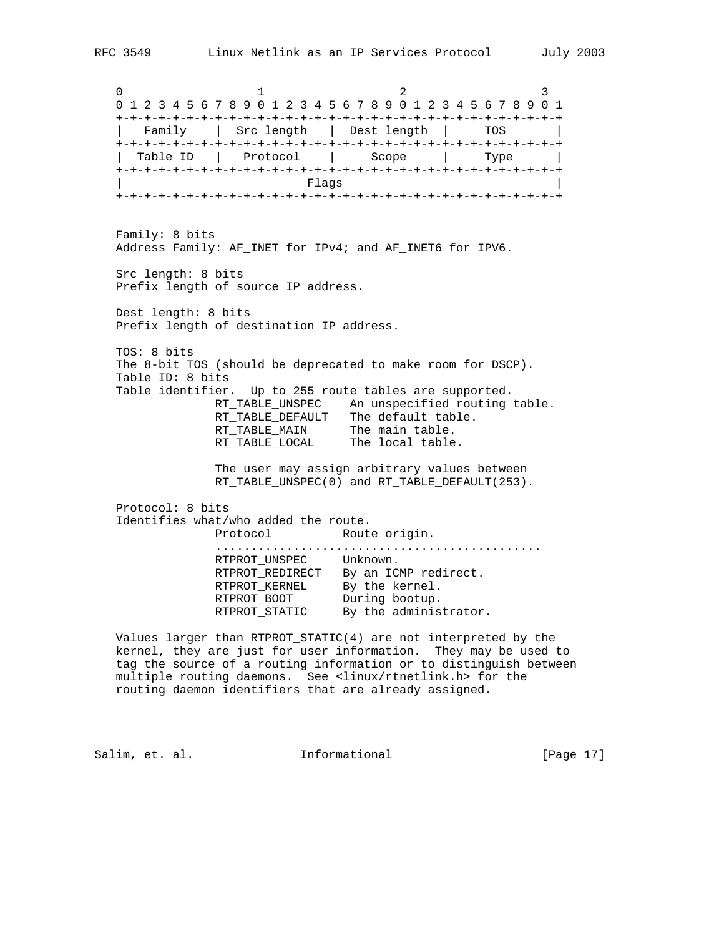0  $1$  2 3 0 1 2 3 4 5 6 7 8 9 0 1 2 3 4 5 6 7 8 9 0 1 2 3 4 5 6 7 8 9 0 1 +-+-+-+-+-+-+-+-+-+-+-+-+-+-+-+-+-+-+-+-+-+-+-+-+-+-+-+-+-+-+-+ | Family | Src length | Dest length | TOS | +-+-+-+-+-+-+-+-+-+-+-+-+-+-+-+-+-+-+-+-+-+-+-+-+-+-+-+-+-+-+-+ | Table ID | Protocol | Scope | Type | +-+-+-+-+-+-+-+-+-+-+-+-+-+-+-+-+-+-+-+-+-+-+-+-+-+-+-+-+-+-+-+ | Flags | +-+-+-+-+-+-+-+-+-+-+-+-+-+-+-+-+-+-+-+-+-+-+-+-+-+-+-+-+-+-+-+ Family: 8 bits Address Family: AF\_INET for IPv4; and AF\_INET6 for IPV6. Src length: 8 bits Prefix length of source IP address. Dest length: 8 bits Prefix length of destination IP address. TOS: 8 bits The 8-bit TOS (should be deprecated to make room for DSCP). Table ID: 8 bits Table identifier. Up to 255 route tables are supported. RT\_TABLE\_UNSPEC An unspecified routing table. RT\_TABLE\_DEFAULT The default table. RT\_TABLE\_MAIN The main table. RT\_TABLE\_LOCAL The local table. The user may assign arbitrary values between RT\_TABLE\_UNSPEC(0) and RT\_TABLE\_DEFAULT(253). Protocol: 8 bits Identifies what/who added the route. Protocol Route origin. .............................................. RTPROT\_UNSPEC Unknown. RTPROT\_REDIRECT By an ICMP redirect. RTPROT\_KERNEL By the kernel. RTPROT\_BOOT During bootup. RTPROT\_STATIC By the administrator. Values larger than RTPROT\_STATIC(4) are not interpreted by the

 kernel, they are just for user information. They may be used to tag the source of a routing information or to distinguish between multiple routing daemons. See <linux/rtnetlink.h> for the routing daemon identifiers that are already assigned.

Salim, et. al. 1nformational [Page 17]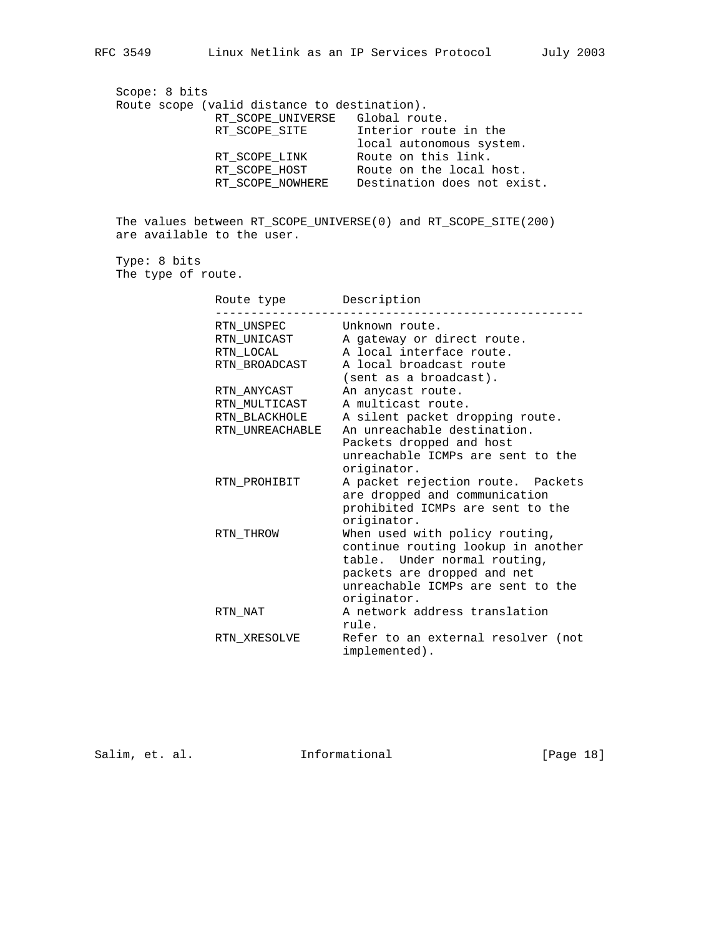Scope: 8 bits Route scope (valid distance to destination). RT\_SCOPE\_UNIVERSE Global route. RT\_SCOPE\_SITE 1nterior route in the local autonomous system. RT\_SCOPE\_LINK Route on this link. RT\_SCOPE\_HOST Route on the local host. RT\_SCOPE\_NOWHERE Destination does not exist.

 The values between RT\_SCOPE\_UNIVERSE(0) and RT\_SCOPE\_SITE(200) are available to the user.

 Type: 8 bits The type of route.

| Route type Description  |                                                                                                                                                                                         |
|-------------------------|-----------------------------------------------------------------------------------------------------------------------------------------------------------------------------------------|
| RTN_UNSPEC<br>RTN LOCAL | Unknown route.<br>RTN_UNICAST A gateway or direct route.<br>A local interface route.                                                                                                    |
| RTN BROADCAST           | A local broadcast route<br>(sent as a broadcast).                                                                                                                                       |
| RTN ANYCAST             | An anycast route.                                                                                                                                                                       |
| RTN MULTICAST           | A multicast route.                                                                                                                                                                      |
| RTN BLACKHOLE           | A silent packet dropping route.                                                                                                                                                         |
| RTN UNREACHABLE         | An unreachable destination.<br>Packets dropped and host<br>unreachable ICMPs are sent to the<br>originator.                                                                             |
| RTN PROHIBIT            | A packet rejection route. Packets<br>are dropped and communication<br>prohibited ICMPs are sent to the<br>originator.                                                                   |
| RTN THROW               | When used with policy routing,<br>continue routing lookup in another<br>table. Under normal routing,<br>packets are dropped and net<br>unreachable ICMPs are sent to the<br>originator. |
| RTN NAT                 | A network address translation<br>rule.                                                                                                                                                  |
| RTN XRESOLVE            | Refer to an external resolver (not<br>implemented).                                                                                                                                     |

Salim, et. al. 10. Informational [Page 18]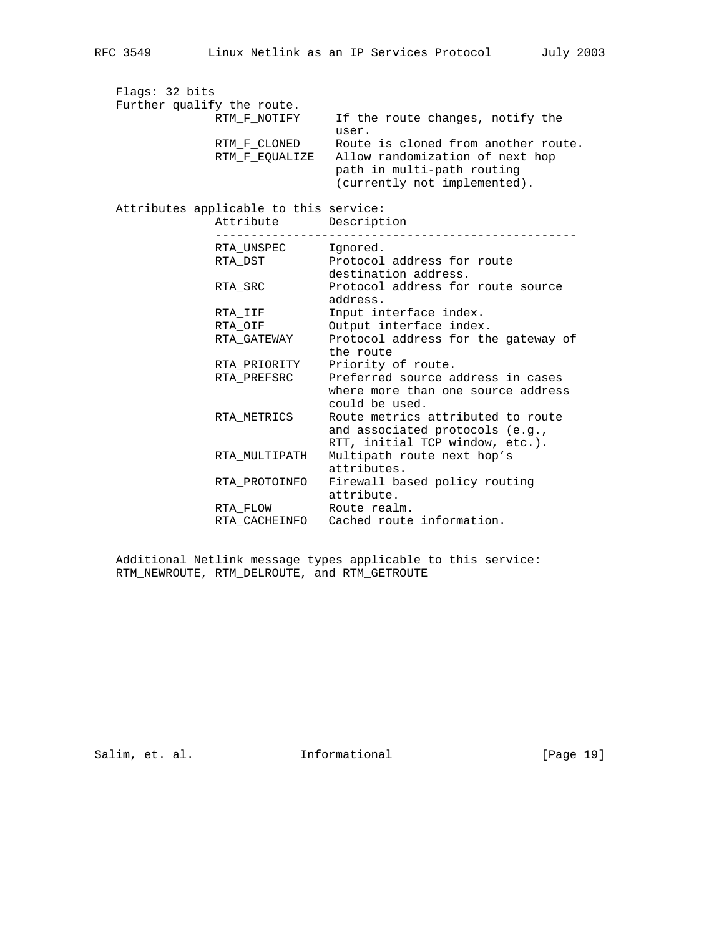| Flags: 32 bits |                                        |                                                                                                         |
|----------------|----------------------------------------|---------------------------------------------------------------------------------------------------------|
|                | Further qualify the route.             |                                                                                                         |
|                | RTM F NOTIFY                           | If the route changes, notify the<br>user.                                                               |
|                | RTM F CLONED                           | Route is cloned from another route.                                                                     |
|                | RTM F EQUALIZE                         | Allow randomization of next hop<br>path in multi-path routing<br>(currently not implemented).           |
|                | Attributes applicable to this service: |                                                                                                         |
|                | Attribute Description                  |                                                                                                         |
|                | RTA UNSPEC lanored.                    |                                                                                                         |
|                | RTA DST                                | Protocol address for route                                                                              |
|                |                                        | destination address.                                                                                    |
|                | RTA SRC                                | Protocol address for route source<br>address.                                                           |
|                | RTA IIF                                | Input interface index.                                                                                  |
|                | RTA_OIF                                | Output interface index.                                                                                 |
|                | RTA GATEWAY                            | Protocol address for the gateway of<br>the route                                                        |
|                | RTA PRIORITY                           | Priority of route.                                                                                      |
|                | RTA PREFSRC                            | Preferred source address in cases<br>where more than one source address<br>could be used.               |
|                | RTA METRICS                            | Route metrics attributed to route<br>and associated protocols (e.g.,<br>RTT, initial TCP window, etc.). |
|                | RTA MULTIPATH                          | Multipath route next hop's<br>attributes.                                                               |
|                | RTA PROTOINFO                          | Firewall based policy routing<br>attribute.                                                             |
|                | RTA FLOW                               | Route realm.                                                                                            |
|                | RTA CACHEINFO                          | Cached route information.                                                                               |

 Additional Netlink message types applicable to this service: RTM\_NEWROUTE, RTM\_DELROUTE, and RTM\_GETROUTE

Salim, et. al. 1nformational 1917 [Page 19]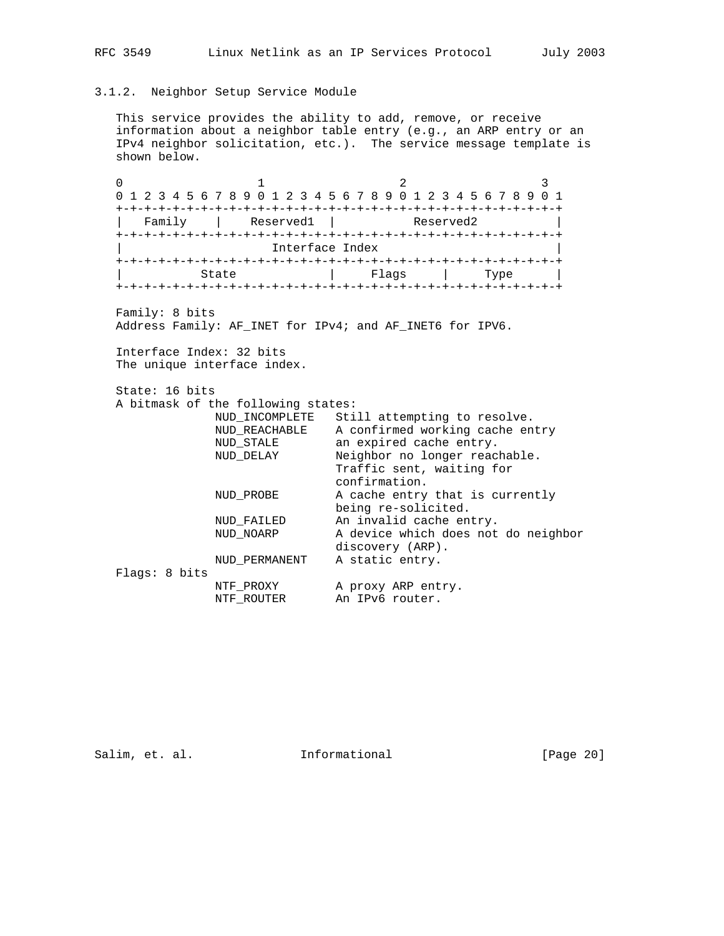# 3.1.2. Neighbor Setup Service Module

 This service provides the ability to add, remove, or receive information about a neighbor table entry (e.g., an ARP entry or an IPv4 neighbor solicitation, etc.). The service message template is shown below.

0  $1$  2 3 0 1 2 3 4 5 6 7 8 9 0 1 2 3 4 5 6 7 8 9 0 1 2 3 4 5 6 7 8 9 0 1 +-+-+-+-+-+-+-+-+-+-+-+-+-+-+-+-+-+-+-+-+-+-+-+-+-+-+-+-+-+-+-+ | Family | Reserved1 | Reserved2 | +-+-+-+-+-+-+-+-+-+-+-+-+-+-+-+-+-+-+-+-+-+-+-+-+-+-+-+-+-+-+-+ Interface Index +-+-+-+-+-+-+-+-+-+-+-+-+-+-+-+-+-+-+-+-+-+-+-+-+-+-+-+-+-+-+-+ | State | Flags | Type | +-+-+-+-+-+-+-+-+-+-+-+-+-+-+-+-+-+-+-+-+-+-+-+-+-+-+-+-+-+-+-+ Family: 8 bits Address Family: AF\_INET for IPv4; and AF\_INET6 for IPV6. Interface Index: 32 bits The unique interface index. State: 16 bits A bitmask of the following states: NUD\_INCOMPLETE Still attempting to resolve. NUD\_REACHABLE A confirmed working cache entry NUD\_STALE an expired cache entry. NUD\_DELAY Neighbor no longer reachable. Traffic sent, waiting for confirmation. NUD\_PROBE A cache entry that is currently being re-solicited. NUD\_FAILED An invalid cache entry. NUD\_NOARP A device which does not do neighbor discovery (ARP). NUD\_PERMANENT A static entry. Flags: 8 bits NTF\_PROXY A proxy ARP entry. NTF\_ROUTER An IPv6 router.

Salim, et. al. 10. Informational 1. [Page 20]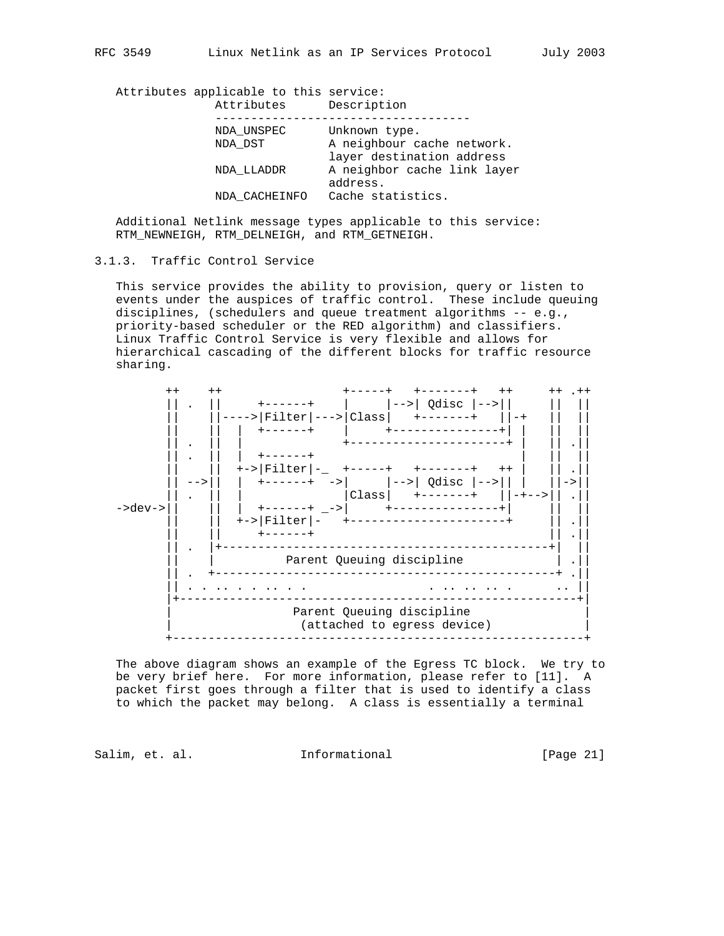Attributes applicable to this service:

| A neighbour cache network.  |
|-----------------------------|
| layer destination address   |
| A neighbor cache link layer |
|                             |
|                             |
|                             |

 Additional Netlink message types applicable to this service: RTM\_NEWNEIGH, RTM\_DELNEIGH, and RTM\_GETNEIGH.

## 3.1.3. Traffic Control Service

 This service provides the ability to provision, query or listen to events under the auspices of traffic control. These include queuing disciplines, (schedulers and queue treatment algorithms -- e.g., priority-based scheduler or the RED algorithm) and classifiers. Linux Traffic Control Service is very flexible and allows for hierarchical cascading of the different blocks for traffic resource sharing.



 The above diagram shows an example of the Egress TC block. We try to be very brief here. For more information, please refer to [11]. A packet first goes through a filter that is used to identify a class to which the packet may belong. A class is essentially a terminal

Salim, et. al. 1nformational [Page 21]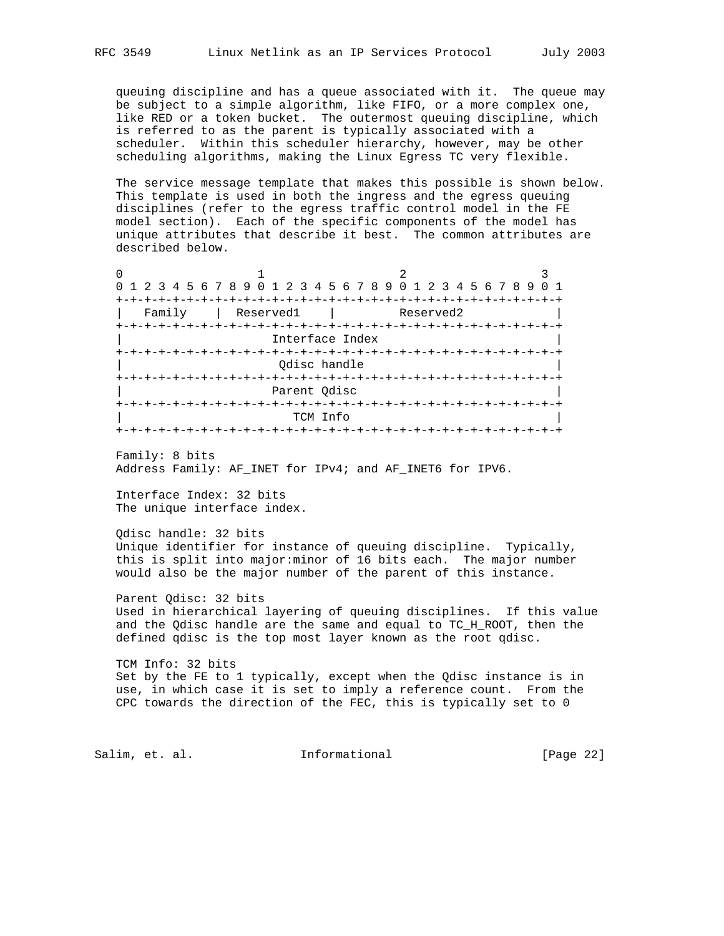queuing discipline and has a queue associated with it. The queue may be subject to a simple algorithm, like FIFO, or a more complex one, like RED or a token bucket. The outermost queuing discipline, which is referred to as the parent is typically associated with a scheduler. Within this scheduler hierarchy, however, may be other scheduling algorithms, making the Linux Egress TC very flexible.

 The service message template that makes this possible is shown below. This template is used in both the ingress and the egress queuing disciplines (refer to the egress traffic control model in the FE model section). Each of the specific components of the model has unique attributes that describe it best. The common attributes are described below.

|                                  | 0 1 2 3 4 5 6 7 8 9 0 1 2 3 4 5 6 7 8 9 0 1 2 3 4 5 6 7 8 9 |                                |  |  |  |  |  |  |  |  |  |  |  |  |
|----------------------------------|-------------------------------------------------------------|--------------------------------|--|--|--|--|--|--|--|--|--|--|--|--|
| -+-+-+-+                         |                                                             |                                |  |  |  |  |  |  |  |  |  |  |  |  |
| Family<br>Reserved1<br>Reserved2 |                                                             |                                |  |  |  |  |  |  |  |  |  |  |  |  |
|                                  |                                                             |                                |  |  |  |  |  |  |  |  |  |  |  |  |
| Interface Index                  |                                                             |                                |  |  |  |  |  |  |  |  |  |  |  |  |
|                                  |                                                             | +-+-+-+-+-+-+-+-+-+-+-+-+-+-+- |  |  |  |  |  |  |  |  |  |  |  |  |
|                                  |                                                             | Odisc handle                   |  |  |  |  |  |  |  |  |  |  |  |  |
|                                  |                                                             | +-+-+-+-+-+-+-+-+-+-+-+        |  |  |  |  |  |  |  |  |  |  |  |  |
|                                  | Parent Odisc                                                |                                |  |  |  |  |  |  |  |  |  |  |  |  |
|                                  |                                                             |                                |  |  |  |  |  |  |  |  |  |  |  |  |
|                                  |                                                             | TCM Info                       |  |  |  |  |  |  |  |  |  |  |  |  |
|                                  |                                                             | +-+-+-+-+-+-+-+-+-+-+          |  |  |  |  |  |  |  |  |  |  |  |  |

 Family: 8 bits Address Family: AF\_INET for IPv4; and AF\_INET6 for IPV6.

 Interface Index: 32 bits The unique interface index.

```
 Qdisc handle: 32 bits
Unique identifier for instance of queuing discipline. Typically,
this is split into major:minor of 16 bits each. The major number
would also be the major number of the parent of this instance.
```
 Parent Qdisc: 32 bits Used in hierarchical layering of queuing disciplines. If this value and the Qdisc handle are the same and equal to TC\_H\_ROOT, then the defined qdisc is the top most layer known as the root qdisc.

 TCM Info: 32 bits Set by the FE to 1 typically, except when the Qdisc instance is in use, in which case it is set to imply a reference count. From the CPC towards the direction of the FEC, this is typically set to 0

Salim, et. al. 10. Informational 1. [Page 22]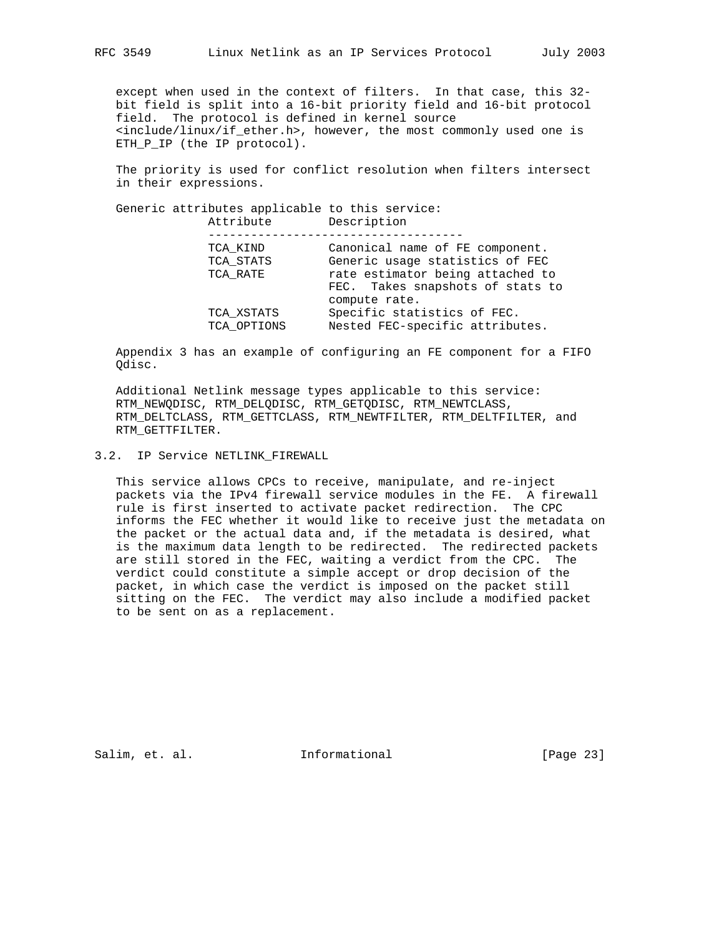except when used in the context of filters. In that case, this 32 bit field is split into a 16-bit priority field and 16-bit protocol field. The protocol is defined in kernel source <include/linux/if\_ether.h>, however, the most commonly used one is ETH\_P\_IP (the IP protocol).

 The priority is used for conflict resolution when filters intersect in their expressions.

 Generic attributes applicable to this service: Attribute Description

| TCA KIND                  | Canonical name of FE component.                                |
|---------------------------|----------------------------------------------------------------|
| TCA STATS                 | Generic usage statistics of FEC                                |
| TCA RATE                  | rate estimator being attached to                               |
|                           | FEC. Takes snapshots of stats to                               |
|                           | compute rate.                                                  |
| TCA XSTATS<br>TCA OPTIONS | Specific statistics of FEC.<br>Nested FEC-specific attributes. |

 Appendix 3 has an example of configuring an FE component for a FIFO Qdisc.

 Additional Netlink message types applicable to this service: RTM\_NEWQDISC, RTM\_DELQDISC, RTM\_GETQDISC, RTM\_NEWTCLASS, RTM\_DELTCLASS, RTM\_GETTCLASS, RTM\_NEWTFILTER, RTM\_DELTFILTER, and RTM\_GETTFILTER.

3.2. IP Service NETLINK\_FIREWALL

 This service allows CPCs to receive, manipulate, and re-inject packets via the IPv4 firewall service modules in the FE. A firewall rule is first inserted to activate packet redirection. The CPC informs the FEC whether it would like to receive just the metadata on the packet or the actual data and, if the metadata is desired, what is the maximum data length to be redirected. The redirected packets are still stored in the FEC, waiting a verdict from the CPC. The verdict could constitute a simple accept or drop decision of the packet, in which case the verdict is imposed on the packet still sitting on the FEC. The verdict may also include a modified packet to be sent on as a replacement.

Salim, et. al. **Informational** [Page 23]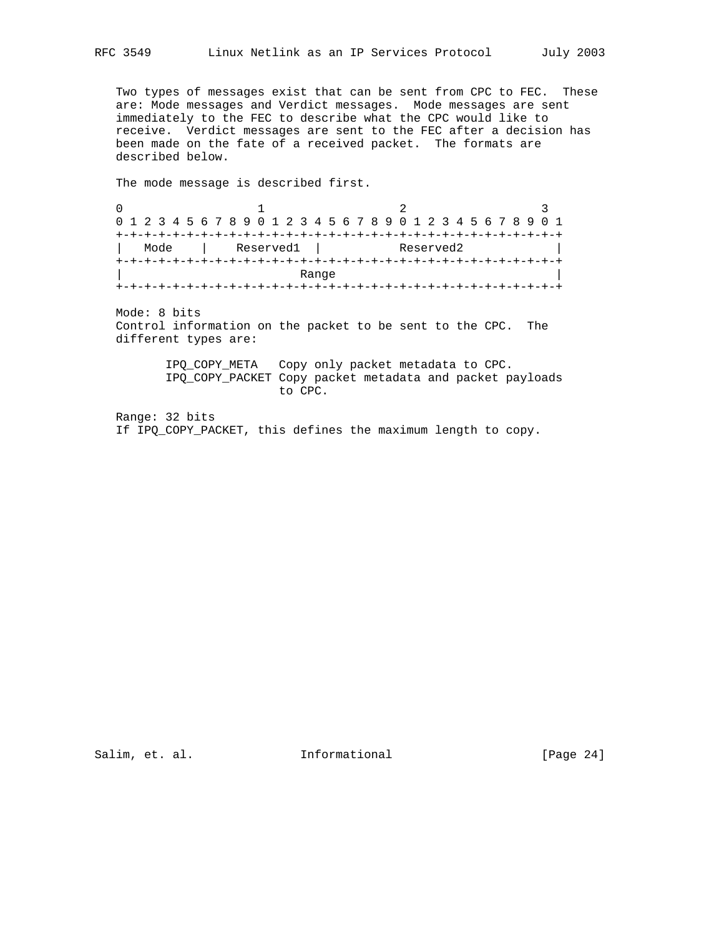Two types of messages exist that can be sent from CPC to FEC. These are: Mode messages and Verdict messages. Mode messages are sent immediately to the FEC to describe what the CPC would like to receive. Verdict messages are sent to the FEC after a decision has been made on the fate of a received packet. The formats are described below.

The mode message is described first.

0  $1$  2 3 0 1 2 3 4 5 6 7 8 9 0 1 2 3 4 5 6 7 8 9 0 1 2 3 4 5 6 7 8 9 0 1 +-+-+-+-+-+-+-+-+-+-+-+-+-+-+-+-+-+-+-+-+-+-+-+-+-+-+-+-+-+-+-+ | Mode | Reserved1 | Reserved2 | +-+-+-+-+-+-+-+-+-+-+-+-+-+-+-+-+-+-+-+-+-+-+-+-+-+-+-+-+-+-+-+ | Range | +-+-+-+-+-+-+-+-+-+-+-+-+-+-+-+-+-+-+-+-+-+-+-+-+-+-+-+-+-+-+-+

 Mode: 8 bits Control information on the packet to be sent to the CPC. The different types are:

> IPQ\_COPY\_META Copy only packet metadata to CPC. IPQ\_COPY\_PACKET Copy packet metadata and packet payloads to CPC.

 Range: 32 bits If IPQ\_COPY\_PACKET, this defines the maximum length to copy.

Salim, et. al. 1nformational [Page 24]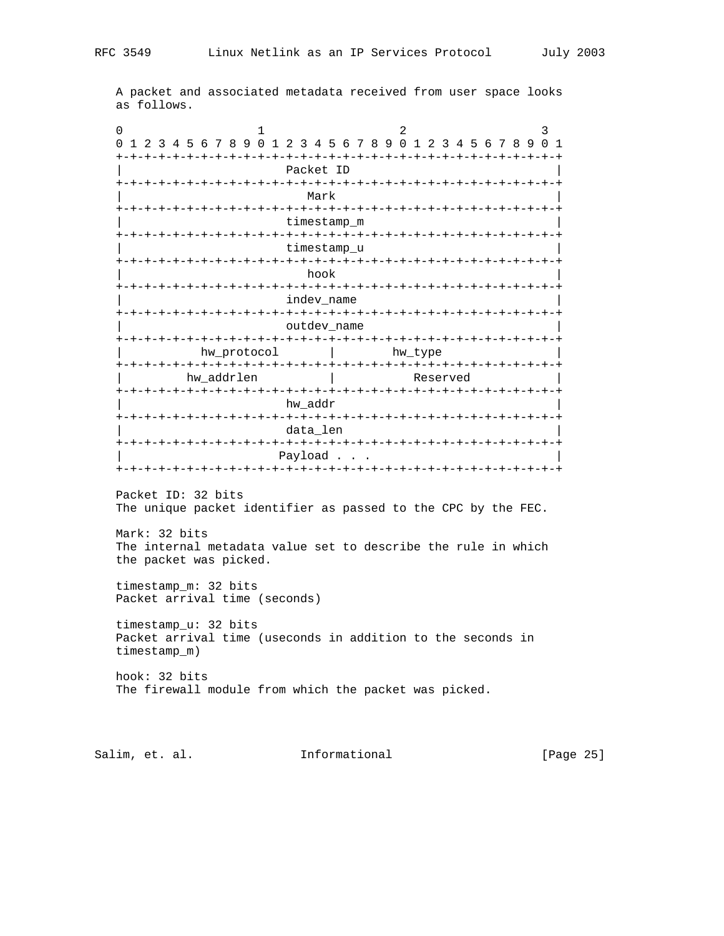A packet and associated metadata received from user space looks as follows.

0  $1$  2 3 0 1 2 3 4 5 6 7 8 9 0 1 2 3 4 5 6 7 8 9 0 1 2 3 4 5 6 7 8 9 0 1 +-+-+-+-+-+-+-+-+-+-+-+-+-+-+-+-+-+-+-+-+-+-+-+-+-+-+-+-+-+-+-+ Packet ID +-+-+-+-+-+-+-+-+-+-+-+-+-+-+-+-+-+-+-+-+-+-+-+-+-+-+-+-+-+-+-+ | Mark | Mark | Mark | Mark | Mark | Mark | Mark | Mark | Mark | Mark | Mark | Mark | Mark | Mark | Mark | Mar +-+-+-+-+-+-+-+-+-+-+-+-+-+-+-+-+-+-+-+-+-+-+-+-+-+-+-+-+-+-+-+ timestamp\_m +-+-+-+-+-+-+-+-+-+-+-+-+-+-+-+-+-+-+-+-+-+-+-+-+-+-+-+-+-+-+-+ timestamp\_u +-+-+-+-+-+-+-+-+-+-+-+-+-+-+-+-+-+-+-+-+-+-+-+-+-+-+-+-+-+-+-+ | hook | hook | hook | hook | hook | hook | hook | hook | hook | hook | hook | hook | hook | hook | hook | hook +-+-+-+-+-+-+-+-+-+-+-+-+-+-+-+-+-+-+-+-+-+-+-+-+-+-+-+-+-+-+-+ indev\_name +-+-+-+-+-+-+-+-+-+-+-+-+-+-+-+-+-+-+-+-+-+-+-+-+-+-+-+-+-+-+-+ outdev\_name +-+-+-+-+-+-+-+-+-+-+-+-+-+-+-+-+-+-+-+-+-+-+-+-+-+-+-+-+-+-+-+ hw\_protocol | hw\_type +-+-+-+-+-+-+-+-+-+-+-+-+-+-+-+-+-+-+-+-+-+-+-+-+-+-+-+-+-+-+-+ hw\_addrlen | Reserved +-+-+-+-+-+-+-+-+-+-+-+-+-+-+-+-+-+-+-+-+-+-+-+-+-+-+-+-+-+-+-+ hw\_addr +-+-+-+-+-+-+-+-+-+-+-+-+-+-+-+-+-+-+-+-+-+-+-+-+-+-+-+-+-+-+-+ data\_len +-+-+-+-+-+-+-+-+-+-+-+-+-+-+-+-+-+-+-+-+-+-+-+-+-+-+-+-+-+-+-+ Payload . . . +-+-+-+-+-+-+-+-+-+-+-+-+-+-+-+-+-+-+-+-+-+-+-+-+-+-+-+-+-+-+-+ Packet ID: 32 bits The unique packet identifier as passed to the CPC by the FEC. Mark: 32 bits The internal metadata value set to describe the rule in which the packet was picked. timestamp\_m: 32 bits Packet arrival time (seconds) timestamp\_u: 32 bits Packet arrival time (useconds in addition to the seconds in timestamp\_m) hook: 32 bits The firewall module from which the packet was picked.

Salim, et. al. 10. Informational 1999 [Page 25]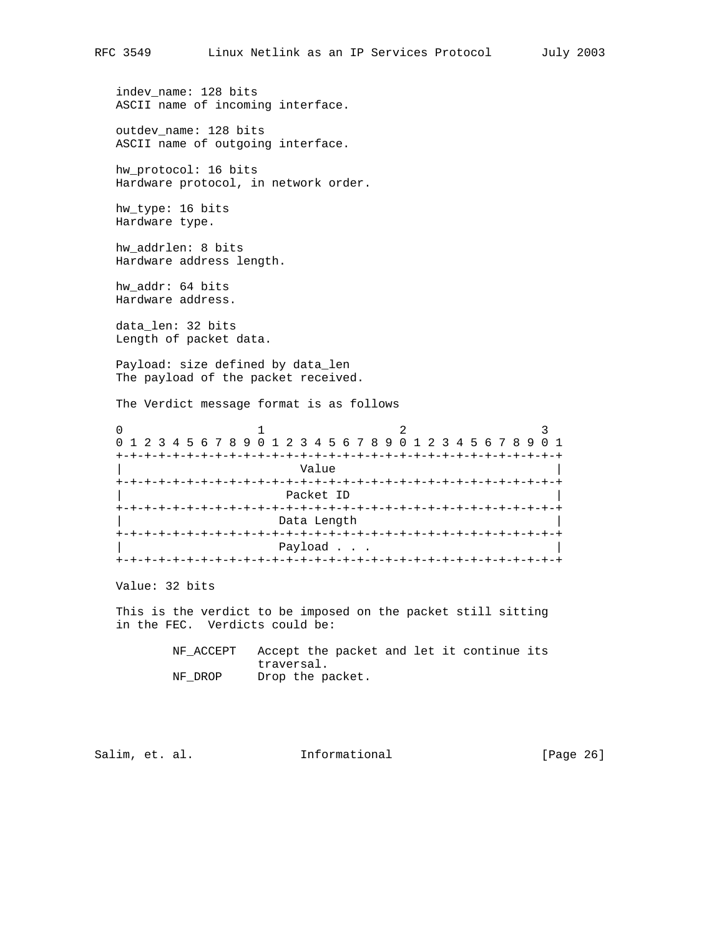indev\_name: 128 bits ASCII name of incoming interface.

 outdev\_name: 128 bits ASCII name of outgoing interface.

 hw\_protocol: 16 bits Hardware protocol, in network order.

 hw\_type: 16 bits Hardware type.

 hw\_addrlen: 8 bits Hardware address length.

 hw\_addr: 64 bits Hardware address.

 data\_len: 32 bits Length of packet data.

 Payload: size defined by data\_len The payload of the packet received.

The Verdict message format is as follows

| 0 1 2 3 4 5 6 7 8 9 0 1 2 3 4 5 6 7 8 9 0 1 2 3 4 5 6 7 8 9 |           |  |  |  |  |  |  |  |  |  |  |                        |  |  |  |  |  |  |  |  |  |  |  |  |  |                | 0 1 |  |
|-------------------------------------------------------------|-----------|--|--|--|--|--|--|--|--|--|--|------------------------|--|--|--|--|--|--|--|--|--|--|--|--|--|----------------|-----|--|
|                                                             |           |  |  |  |  |  |  |  |  |  |  |                        |  |  |  |  |  |  |  |  |  |  |  |  |  | +-+-+-+-+-+-+- |     |  |
|                                                             | Value     |  |  |  |  |  |  |  |  |  |  |                        |  |  |  |  |  |  |  |  |  |  |  |  |  |                |     |  |
|                                                             |           |  |  |  |  |  |  |  |  |  |  |                        |  |  |  |  |  |  |  |  |  |  |  |  |  |                |     |  |
|                                                             | Packet ID |  |  |  |  |  |  |  |  |  |  |                        |  |  |  |  |  |  |  |  |  |  |  |  |  |                |     |  |
|                                                             |           |  |  |  |  |  |  |  |  |  |  | -+-+-+-+-+-+-+-+-+-+-+ |  |  |  |  |  |  |  |  |  |  |  |  |  |                |     |  |
|                                                             |           |  |  |  |  |  |  |  |  |  |  | Data Length            |  |  |  |  |  |  |  |  |  |  |  |  |  |                |     |  |
|                                                             |           |  |  |  |  |  |  |  |  |  |  |                        |  |  |  |  |  |  |  |  |  |  |  |  |  |                |     |  |
|                                                             |           |  |  |  |  |  |  |  |  |  |  | Payload                |  |  |  |  |  |  |  |  |  |  |  |  |  |                |     |  |
|                                                             |           |  |  |  |  |  |  |  |  |  |  |                        |  |  |  |  |  |  |  |  |  |  |  |  |  |                |     |  |

Value: 32 bits

 This is the verdict to be imposed on the packet still sitting in the FEC. Verdicts could be:

> NF\_ACCEPT Accept the packet and let it continue its traversal. NF\_DROP Drop the packet.

Salim, et. al. 1nformational [Page 26]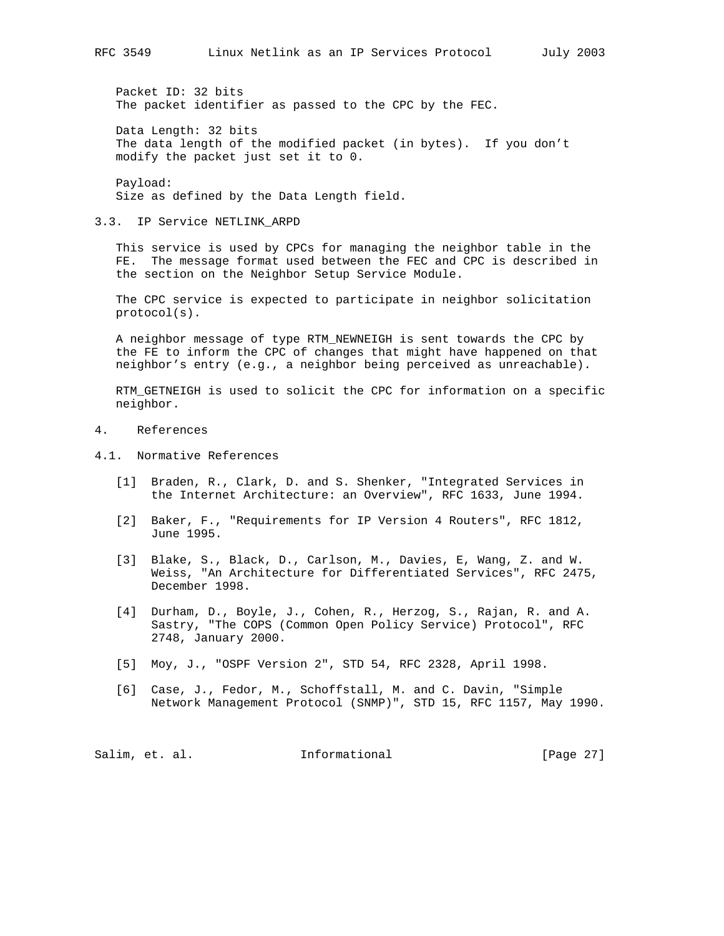Packet ID: 32 bits The packet identifier as passed to the CPC by the FEC.

 Data Length: 32 bits The data length of the modified packet (in bytes). If you don't modify the packet just set it to 0.

 Payload: Size as defined by the Data Length field.

3.3. IP Service NETLINK\_ARPD

 This service is used by CPCs for managing the neighbor table in the FE. The message format used between the FEC and CPC is described in the section on the Neighbor Setup Service Module.

 The CPC service is expected to participate in neighbor solicitation protocol(s).

 A neighbor message of type RTM\_NEWNEIGH is sent towards the CPC by the FE to inform the CPC of changes that might have happened on that neighbor's entry (e.g., a neighbor being perceived as unreachable).

 RTM\_GETNEIGH is used to solicit the CPC for information on a specific neighbor.

- 4. References
- 4.1. Normative References
	- [1] Braden, R., Clark, D. and S. Shenker, "Integrated Services in the Internet Architecture: an Overview", RFC 1633, June 1994.
	- [2] Baker, F., "Requirements for IP Version 4 Routers", RFC 1812, June 1995.
	- [3] Blake, S., Black, D., Carlson, M., Davies, E, Wang, Z. and W. Weiss, "An Architecture for Differentiated Services", RFC 2475, December 1998.
	- [4] Durham, D., Boyle, J., Cohen, R., Herzog, S., Rajan, R. and A. Sastry, "The COPS (Common Open Policy Service) Protocol", RFC 2748, January 2000.
	- [5] Moy, J., "OSPF Version 2", STD 54, RFC 2328, April 1998.
	- [6] Case, J., Fedor, M., Schoffstall, M. and C. Davin, "Simple Network Management Protocol (SNMP)", STD 15, RFC 1157, May 1990.

Salim, et. al. 10. Informational 1. [Page 27]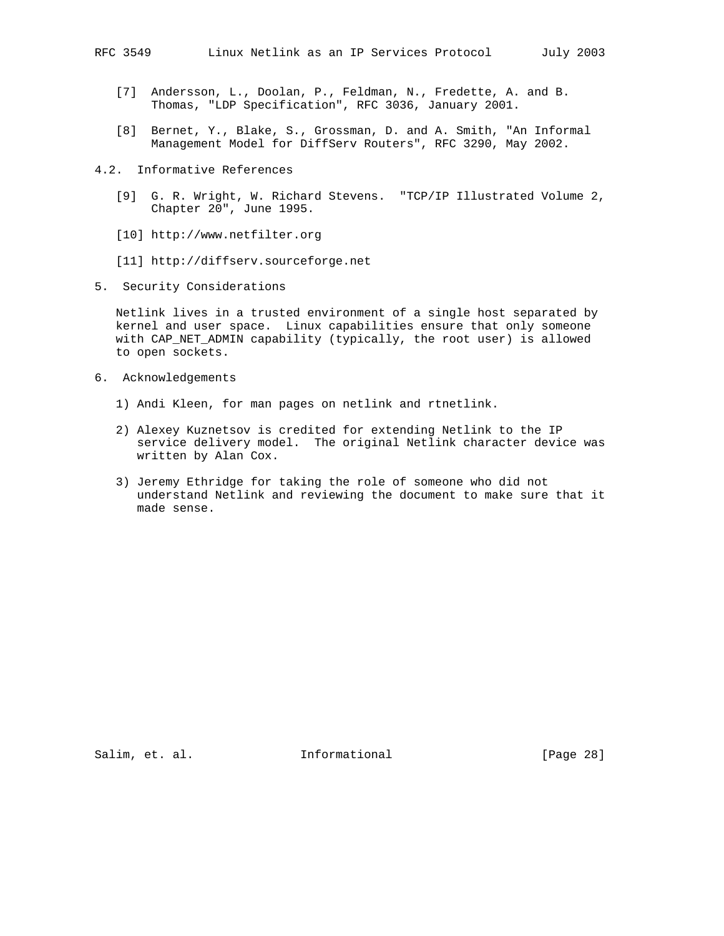- [7] Andersson, L., Doolan, P., Feldman, N., Fredette, A. and B. Thomas, "LDP Specification", RFC 3036, January 2001.
- [8] Bernet, Y., Blake, S., Grossman, D. and A. Smith, "An Informal Management Model for DiffServ Routers", RFC 3290, May 2002.
- 4.2. Informative References
	- [9] G. R. Wright, W. Richard Stevens. "TCP/IP Illustrated Volume 2, Chapter 20", June 1995.
	- [10] http://www.netfilter.org
	- [11] http://diffserv.sourceforge.net
- 5. Security Considerations

 Netlink lives in a trusted environment of a single host separated by kernel and user space. Linux capabilities ensure that only someone with CAP\_NET\_ADMIN capability (typically, the root user) is allowed to open sockets.

- 6. Acknowledgements
	- 1) Andi Kleen, for man pages on netlink and rtnetlink.
	- 2) Alexey Kuznetsov is credited for extending Netlink to the IP service delivery model. The original Netlink character device was written by Alan Cox.
	- 3) Jeremy Ethridge for taking the role of someone who did not understand Netlink and reviewing the document to make sure that it made sense.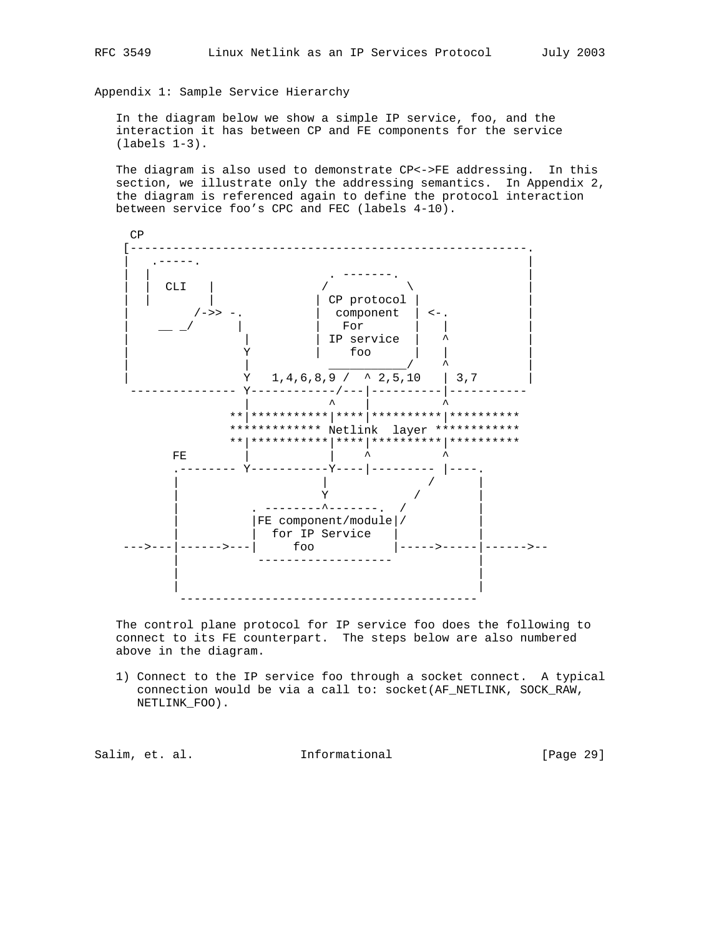Appendix 1: Sample Service Hierarchy

 In the diagram below we show a simple IP service, foo, and the interaction it has between CP and FE components for the service (labels 1-3).

 The diagram is also used to demonstrate CP<->FE addressing. In this section, we illustrate only the addressing semantics. In Appendix 2, the diagram is referenced again to define the protocol interaction between service foo's CPC and FEC (labels 4-10).



 The control plane protocol for IP service foo does the following to connect to its FE counterpart. The steps below are also numbered above in the diagram.

 1) Connect to the IP service foo through a socket connect. A typical connection would be via a call to: socket(AF\_NETLINK, SOCK\_RAW, NETLINK\_FOO).

Salim, et. al. 10. Informational 1. [Page 29]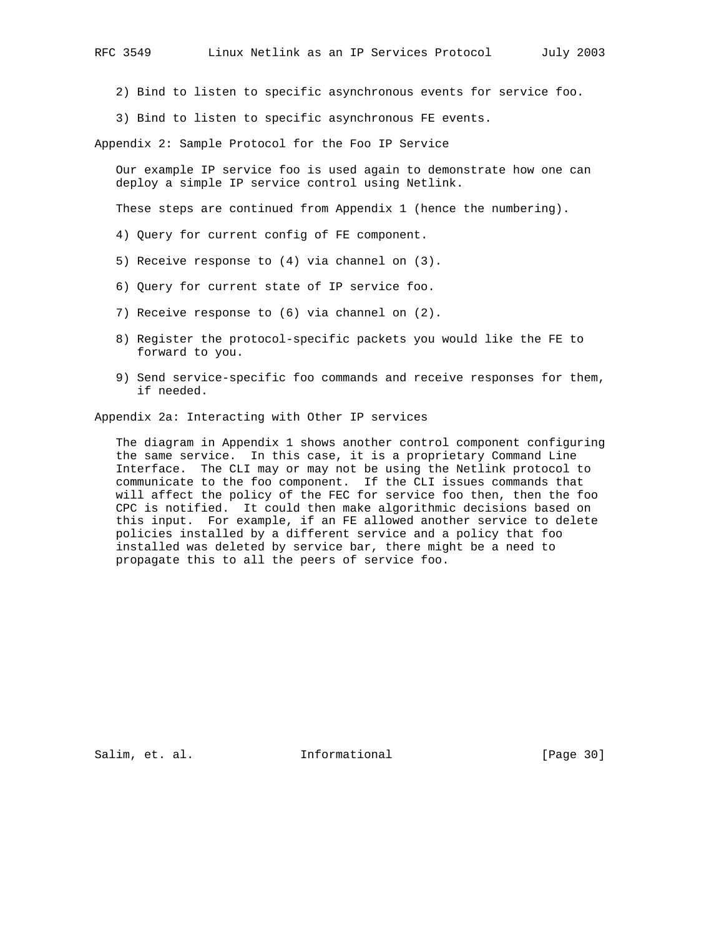- 2) Bind to listen to specific asynchronous events for service foo.
- 3) Bind to listen to specific asynchronous FE events.

Appendix 2: Sample Protocol for the Foo IP Service

 Our example IP service foo is used again to demonstrate how one can deploy a simple IP service control using Netlink.

These steps are continued from Appendix 1 (hence the numbering).

- 4) Query for current config of FE component.
- 5) Receive response to (4) via channel on (3).
- 6) Query for current state of IP service foo.
- 7) Receive response to (6) via channel on (2).
- 8) Register the protocol-specific packets you would like the FE to forward to you.
- 9) Send service-specific foo commands and receive responses for them, if needed.

Appendix 2a: Interacting with Other IP services

 The diagram in Appendix 1 shows another control component configuring the same service. In this case, it is a proprietary Command Line Interface. The CLI may or may not be using the Netlink protocol to communicate to the foo component. If the CLI issues commands that will affect the policy of the FEC for service foo then, then the foo CPC is notified. It could then make algorithmic decisions based on this input. For example, if an FE allowed another service to delete policies installed by a different service and a policy that foo installed was deleted by service bar, there might be a need to propagate this to all the peers of service foo.

Salim, et. al. 1nformational [Page 30]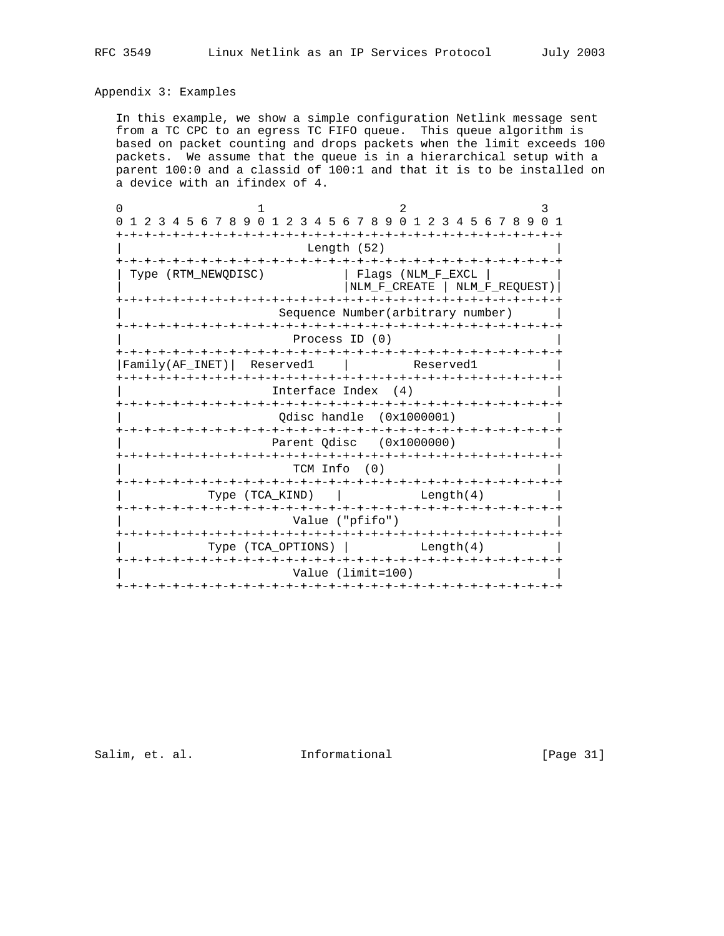## Appendix 3: Examples

 In this example, we show a simple configuration Netlink message sent from a TC CPC to an egress TC FIFO queue. This queue algorithm is based on packet counting and drops packets when the limit exceeds 100 packets. We assume that the queue is in a hierarchical setup with a parent 100:0 and a classid of 100:1 and that it is to be installed on a device with an ifindex of 4.

| 1 2 3 4 5 6 7 8 9 0 1 2 3 4 5 6 7 8 9 0 1 2 3 4 5 6 7 8 9 0 1        |                                    |                                                    |  |  |                                   |  |  |  |  |  |  |  |
|----------------------------------------------------------------------|------------------------------------|----------------------------------------------------|--|--|-----------------------------------|--|--|--|--|--|--|--|
| -+-+-+-+-+-+                                                         | Length (52)                        | -+-+-+-+-+-+-+-+-+-+-+-+-+-                        |  |  |                                   |  |  |  |  |  |  |  |
| Type (RTM_NEWQDISC)                                                  |                                    | Flags (NLM F EXCL<br>NLM_F_CREATE   NLM_F_REQUEST) |  |  |                                   |  |  |  |  |  |  |  |
|                                                                      | Sequence Number (arbitrary number) |                                                    |  |  |                                   |  |  |  |  |  |  |  |
|                                                                      | Process ID (0)                     |                                                    |  |  |                                   |  |  |  |  |  |  |  |
| Family(AF INET)<br>Reserved1                                         |                                    |                                                    |  |  | Reserved1                         |  |  |  |  |  |  |  |
| Interface Index (4)                                                  |                                    |                                                    |  |  |                                   |  |  |  |  |  |  |  |
|                                                                      | Odisc handle (0x1000001)           |                                                    |  |  |                                   |  |  |  |  |  |  |  |
| Parent Odisc (0x1000000)                                             |                                    |                                                    |  |  |                                   |  |  |  |  |  |  |  |
|                                                                      | TCM Info (0)                       |                                                    |  |  |                                   |  |  |  |  |  |  |  |
| Type (TCA KIND)                                                      |                                    |                                                    |  |  | Length(4)                         |  |  |  |  |  |  |  |
|                                                                      | Value ("pfifo")                    |                                                    |  |  |                                   |  |  |  |  |  |  |  |
| -+-+-+-+-+-+-+-+-+-+-+-+<br>-+-+-+-+-+-+-+-+-+<br>Type (TCA OPTIONS) |                                    |                                                    |  |  | -+-+-+-+-+-+-+-+-+-+<br>Length(4) |  |  |  |  |  |  |  |
|                                                                      | Value (limit=100)                  |                                                    |  |  |                                   |  |  |  |  |  |  |  |
| -+-+-+-+-+-+-+-+-+-+-+                                               |                                    |                                                    |  |  |                                   |  |  |  |  |  |  |  |

Salim, et. al. 10. Informational [Page 31]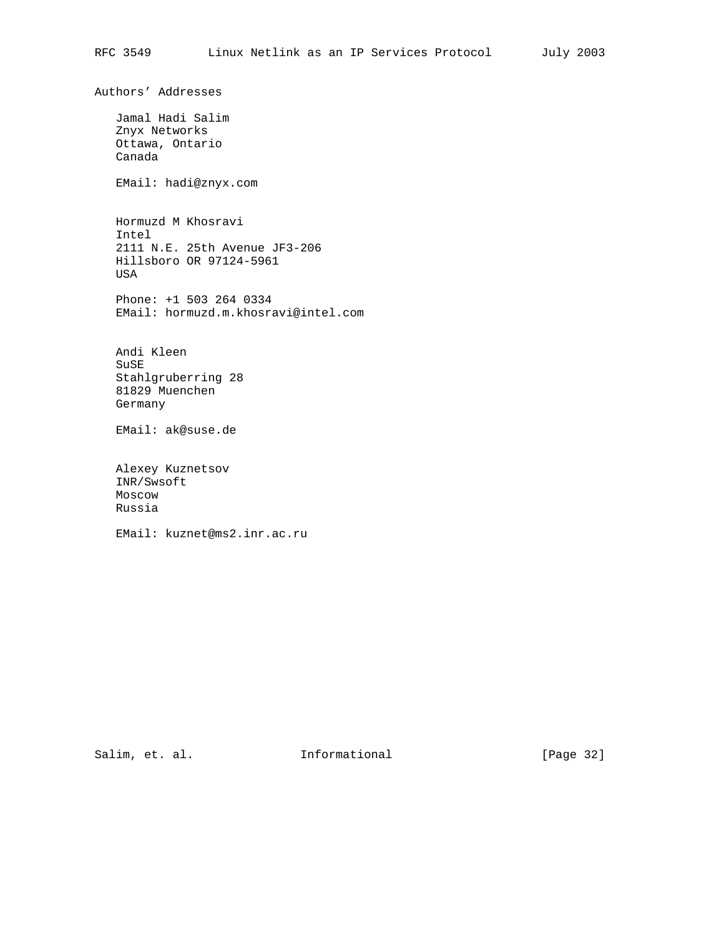Authors' Addresses Jamal Hadi Salim Znyx Networks Ottawa, Ontario Canada EMail: hadi@znyx.com Hormuzd M Khosravi Intel 2111 N.E. 25th Avenue JF3-206 Hillsboro OR 97124-5961 USA Phone: +1 503 264 0334 EMail: hormuzd.m.khosravi@intel.com Andi Kleen SuSE Stahlgruberring 28 81829 Muenchen Germany EMail: ak@suse.de Alexey Kuznetsov INR/Swsoft Moscow Russia

EMail: kuznet@ms2.inr.ac.ru

Salim, et. al. 1nformational [Page 32]